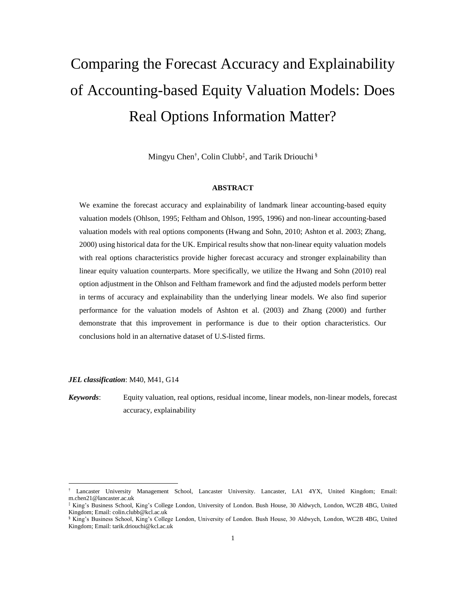# Comparing the Forecast Accuracy and Explainability of Accounting-based Equity Valuation Models: Does Real Options Information Matter?

Mingyu Chen<sup>†</sup>, Colin Clubb<sup>‡</sup>, and Tarik Driouchi<sup>§</sup>

## **ABSTRACT**

We examine the forecast accuracy and explainability of landmark linear accounting-based equity valuation models (Ohlson, 1995; Feltham and Ohlson, 1995, 1996) and non-linear accounting-based valuation models with real options components (Hwang and Sohn, 2010; Ashton et al. 2003; Zhang, 2000) using historical data for the UK. Empirical results show that non-linear equity valuation models with real options characteristics provide higher forecast accuracy and stronger explainability than linear equity valuation counterparts. More specifically, we utilize the Hwang and Sohn (2010) real option adjustment in the Ohlson and Feltham framework and find the adjusted models perform better in terms of accuracy and explainability than the underlying linear models. We also find superior performance for the valuation models of Ashton et al. (2003) and Zhang (2000) and further demonstrate that this improvement in performance is due to their option characteristics. Our conclusions hold in an alternative dataset of U.S-listed firms.

*JEL classification*: M40, M41, G14

 $\overline{a}$ 

*Keywords*: Equity valuation, real options, residual income, linear models, non-linear models, forecast accuracy, explainability

<sup>†</sup> Lancaster University Management School, Lancaster University. Lancaster, LA1 4YX, United Kingdom; Email: m.chen21@lancaster.ac.uk

<sup>‡</sup> King's Business School, King's College London, University of London. Bush House, 30 Aldwych, London, WC2B 4BG, United Kingdom; Email: colin.clubb@kcl.ac.uk

<sup>§</sup> King's Business School, King's College London, University of London. Bush House, 30 Aldwych, London, WC2B 4BG, United Kingdom; Email: tarik.driouchi@kcl.ac.uk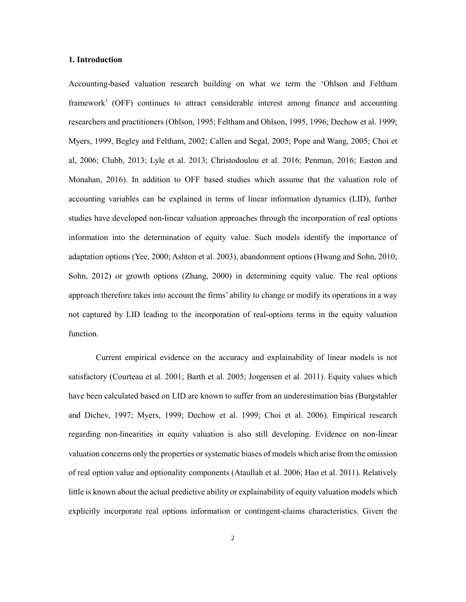#### **1. Introduction**

Accounting-based valuation research building on what we term the 'Ohlson and Feltham framework' (OFF) continues to attract considerable interest among finance and accounting researchers and practitioners (Ohlson, 1995; Feltham and Ohlson, 1995, 1996; Dechow et al. 1999; Myers, 1999, Begley and Feltham, 2002; Callen and Segal, 2005; Pope and Wang, 2005; Choi et al, 2006; Clubb, 2013; Lyle et al. 2013; Christodoulou et al. 2016; Penman, 2016; Easton and Monahan, 2016). In addition to OFF based studies which assume that the valuation role of accounting variables can be explained in terms of linear information dynamics (LID), further studies have developed non-linear valuation approaches through the incorporation of real options information into the determination of equity value. Such models identify the importance of adaptation options (Yee, 2000; Ashton et al. 2003), abandonment options (Hwang and Sohn, 2010; Sohn, 2012) or growth options (Zhang, 2000) in determining equity value. The real options approach therefore takes into account the firms' ability to change or modify its operations in a way not captured by LID leading to the incorporation of real-options terms in the equity valuation function.

Current empirical evidence on the accuracy and explainability of linear models is not satisfactory (Courteau et al. 2001; Barth et al. 2005; Jorgensen et al. 2011). Equity values which have been calculated based on LID are known to suffer from an underestimation bias (Burgstahler and Dichev, 1997; Myers, 1999; Dechow et al. 1999; Choi et al. 2006). Empirical research regarding non-linearities in equity valuation is also still developing. Evidence on non-linear valuation concerns only the properties or systematic biases of models which arise from the omission of real option value and optionality components (Ataullah et al. 2006; Hao et al. 2011). Relatively little is known about the actual predictive ability or explainability of equity valuation models which explicitly incorporate real options information or contingent-claims characteristics. Given the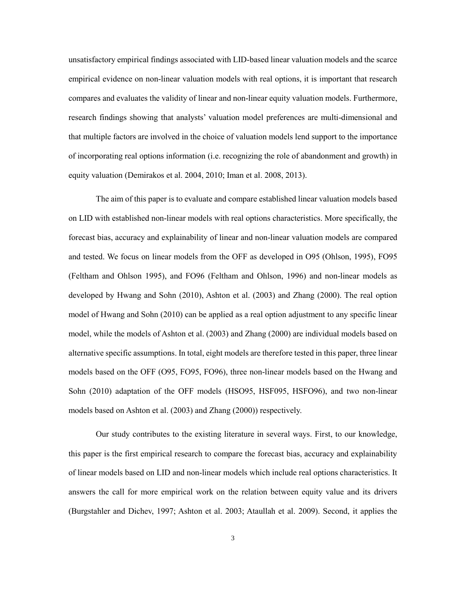unsatisfactory empirical findings associated with LID-based linear valuation models and the scarce empirical evidence on non-linear valuation models with real options, it is important that research compares and evaluates the validity of linear and non-linear equity valuation models. Furthermore, research findings showing that analysts' valuation model preferences are multi-dimensional and that multiple factors are involved in the choice of valuation models lend support to the importance of incorporating real options information (i.e. recognizing the role of abandonment and growth) in equity valuation (Demirakos et al. 2004, 2010; Iman et al. 2008, 2013).

The aim of this paper is to evaluate and compare established linear valuation models based on LID with established non-linear models with real options characteristics. More specifically, the forecast bias, accuracy and explainability of linear and non-linear valuation models are compared and tested. We focus on linear models from the OFF as developed in O95 (Ohlson, 1995), FO95 (Feltham and Ohlson 1995), and FO96 (Feltham and Ohlson, 1996) and non-linear models as developed by Hwang and Sohn (2010), Ashton et al. (2003) and Zhang (2000). The real option model of Hwang and Sohn (2010) can be applied as a real option adjustment to any specific linear model, while the models of Ashton et al. (2003) and Zhang (2000) are individual models based on alternative specific assumptions. In total, eight models are therefore tested in this paper, three linear models based on the OFF (O95, FO95, FO96), three non-linear models based on the Hwang and Sohn (2010) adaptation of the OFF models (HSO95, HSF095, HSFO96), and two non-linear models based on Ashton et al. (2003) and Zhang (2000)) respectively.

Our study contributes to the existing literature in several ways. First, to our knowledge, this paper is the first empirical research to compare the forecast bias, accuracy and explainability of linear models based on LID and non-linear models which include real options characteristics. It answers the call for more empirical work on the relation between equity value and its drivers (Burgstahler and Dichev, 1997; Ashton et al. 2003; Ataullah et al. 2009). Second, it applies the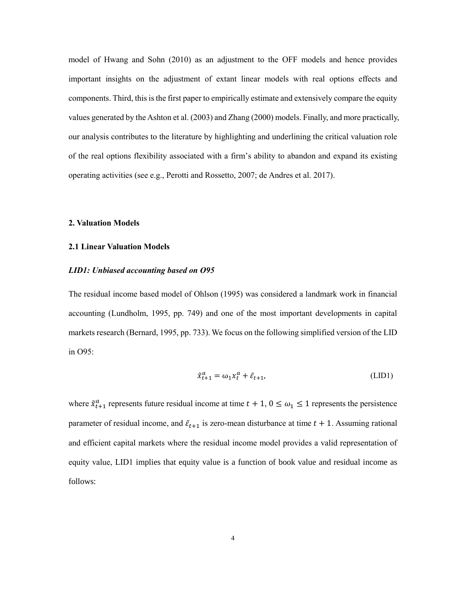model of Hwang and Sohn (2010) as an adjustment to the OFF models and hence provides important insights on the adjustment of extant linear models with real options effects and components. Third, this is the first paper to empirically estimate and extensively compare the equity values generated by the Ashton et al. (2003) and Zhang (2000) models. Finally, and more practically, our analysis contributes to the literature by highlighting and underlining the critical valuation role of the real options flexibility associated with a firm's ability to abandon and expand its existing operating activities (see e.g., Perotti and Rossetto, 2007; de Andres et al. 2017).

#### **2. Valuation Models**

## **2.1 Linear Valuation Models**

#### *LID1: Unbiased accounting based on O95*

The residual income based model of Ohlson (1995) was considered a landmark work in financial accounting (Lundholm, 1995, pp. 749) and one of the most important developments in capital markets research (Bernard, 1995, pp. 733). We focus on the following simplified version of the LID in O95:

$$
\tilde{x}_{t+1}^a = \omega_1 x_t^a + \tilde{\varepsilon}_{t+1},\tag{LID1}
$$

where  $\tilde{x}_{t+1}^a$  represents future residual income at time  $t + 1$ ,  $0 \le \omega_1 \le 1$  represents the persistence parameter of residual income, and  $\tilde{\epsilon}_{t+1}$  is zero-mean disturbance at time  $t + 1$ . Assuming rational and efficient capital markets where the residual income model provides a valid representation of equity value, LID1 implies that equity value is a function of book value and residual income as follows: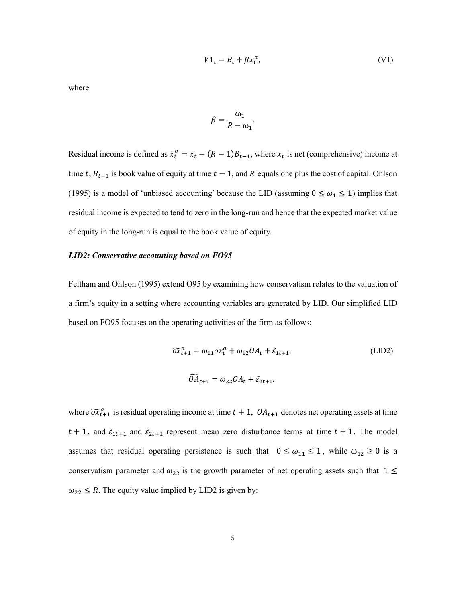$$
V1_t = B_t + \beta x_t^a,\tag{V1}
$$

where

$$
\beta = \frac{\omega_1}{R - \omega_1}.
$$

Residual income is defined as  $x_t^a = x_t - (R - 1)B_{t-1}$ , where  $x_t$  is net (comprehensive) income at time t,  $B_{t-1}$  is book value of equity at time  $t - 1$ , and R equals one plus the cost of capital. Ohlson (1995) is a model of 'unbiased accounting' because the LID (assuming  $0 \le \omega_1 \le 1$ ) implies that residual income is expected to tend to zero in the long-run and hence that the expected market value of equity in the long-run is equal to the book value of equity.

# *LID2: Conservative accounting based on FO95*

Feltham and Ohlson (1995) extend O95 by examining how conservatism relates to the valuation of a firm's equity in a setting where accounting variables are generated by LID. Our simplified LID based on FO95 focuses on the operating activities of the firm as follows:

$$
\widetilde{\sigma}\widetilde{x}_{t+1}^a = \omega_{11}\sigma x_t^a + \omega_{12}\sigma A_t + \widetilde{\varepsilon}_{1t+1},
$$
\n(LID2)\n
$$
\widetilde{\sigma}A_{t+1} = \omega_{22}\sigma A_t + \widetilde{\varepsilon}_{2t+1}.
$$

where  $\widetilde{ox}_{t+1}^a$  is residual operating income at time  $t + 1$ ,  $OA_{t+1}$  denotes net operating assets at time  $t + 1$ , and  $\tilde{\varepsilon}_{1t+1}$  and  $\tilde{\varepsilon}_{2t+1}$  represent mean zero disturbance terms at time  $t + 1$ . The model assumes that residual operating persistence is such that  $0 \le \omega_{11} \le 1$ , while  $\omega_{12} \ge 0$  is a conservatism parameter and  $\omega_{22}$  is the growth parameter of net operating assets such that  $1 \leq$  $\omega_{22} \le R$ . The equity value implied by LID2 is given by: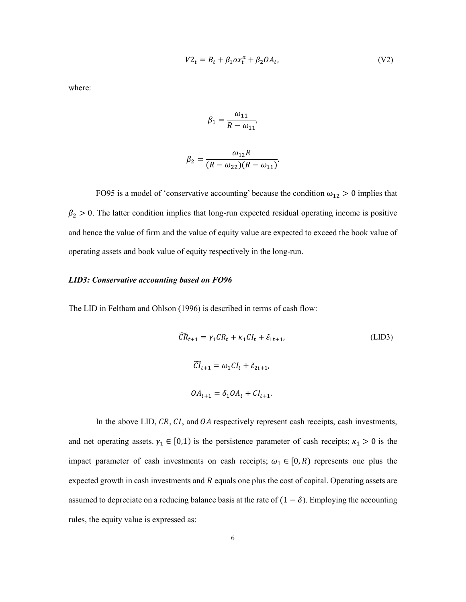$$
V2_t = B_t + \beta_1 \alpha x_t^a + \beta_2 O A_t, \qquad (V2)
$$

where:

$$
\beta_1 = \frac{\omega_{11}}{R - \omega_{11}},
$$

$$
\beta_2 = \frac{\omega_{12}R}{(R - \omega_{22})(R - \omega_{11})}.
$$

FO95 is a model of 'conservative accounting' because the condition  $\omega_{12} > 0$  implies that  $\beta_2 > 0$ . The latter condition implies that long-run expected residual operating income is positive and hence the value of firm and the value of equity value are expected to exceed the book value of operating assets and book value of equity respectively in the long-run.

# *LID3: Conservative accounting based on FO96*

The LID in Feltham and Ohlson (1996) is described in terms of cash flow:

$$
\widetilde{CR}_{t+1} = \gamma_1 CR_t + \kappa_1 CI_t + \tilde{\varepsilon}_{1t+1},
$$
\n
$$
\widetilde{CI}_{t+1} = \omega_1 CI_t + \tilde{\varepsilon}_{2t+1},
$$
\n
$$
OA_{t+1} = \delta_1 OA_t + CI_{t+1}.
$$
\n(LID3)

In the above LID,  $CR$ ,  $CI$ , and  $OA$  respectively represent cash receipts, cash investments, and net operating assets.  $\gamma_1 \in [0,1)$  is the persistence parameter of cash receipts;  $\kappa_1 > 0$  is the impact parameter of cash investments on cash receipts;  $\omega_1 \in [0, R)$  represents one plus the expected growth in cash investments and  $R$  equals one plus the cost of capital. Operating assets are assumed to depreciate on a reducing balance basis at the rate of  $(1 - \delta)$ . Employing the accounting rules, the equity value is expressed as: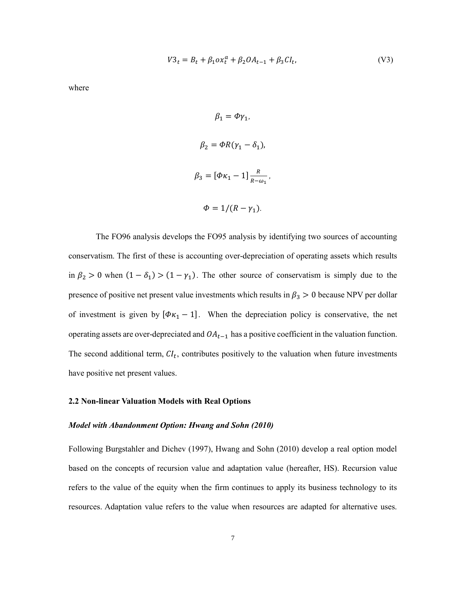$$
V3_t = B_t + \beta_1 \alpha x_t^a + \beta_2 O A_{t-1} + \beta_3 C I_t, \tag{V3}
$$

where

 $\beta_1 = \phi \gamma_1$ ,  $\beta_2 = \Phi R(\gamma_1 - \delta_1),$  $\beta_3 = [\Phi \kappa_1 - 1] \frac{R}{R}$  $\frac{R}{R-\omega_1}$ ,  $\Phi = 1/(R - \gamma_1)$ .

The FO96 analysis develops the FO95 analysis by identifying two sources of accounting conservatism. The first of these is accounting over-depreciation of operating assets which results in  $\beta_2 > 0$  when  $(1 - \delta_1) > (1 - \gamma_1)$ . The other source of conservatism is simply due to the presence of positive net present value investments which results in  $\beta_3 > 0$  because NPV per dollar of investment is given by  $[\Phi \kappa_1 - 1]$ . When the depreciation policy is conservative, the net operating assets are over-depreciated and  $OA_{t-1}$  has a positive coefficient in the valuation function. The second additional term,  $CI_t$ , contributes positively to the valuation when future investments have positive net present values.

# **2.2 Non-linear Valuation Models with Real Options**

#### *Model with Abandonment Option: Hwang and Sohn (2010)*

Following Burgstahler and Dichev (1997), Hwang and Sohn (2010) develop a real option model based on the concepts of recursion value and adaptation value (hereafter, HS). Recursion value refers to the value of the equity when the firm continues to apply its business technology to its resources. Adaptation value refers to the value when resources are adapted for alternative uses.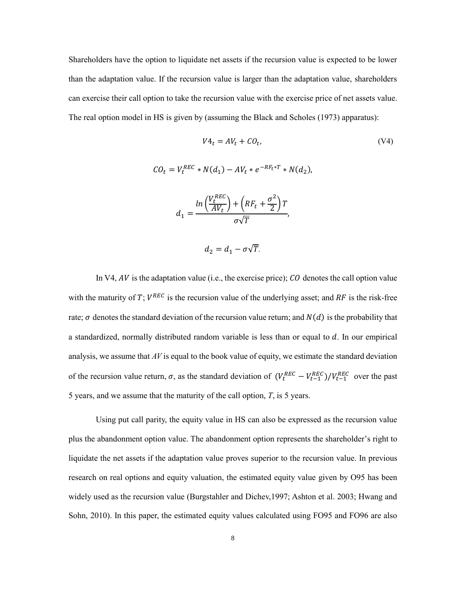Shareholders have the option to liquidate net assets if the recursion value is expected to be lower than the adaptation value. If the recursion value is larger than the adaptation value, shareholders can exercise their call option to take the recursion value with the exercise price of net assets value. The real option model in HS is given by (assuming the Black and Scholes (1973) apparatus):

$$
V4_t = AV_t + CO_t,
$$
\n
$$
CO_t = V_t^{REC} * N(d_1) - AV_t * e^{-RF_t*T} * N(d_2),
$$
\n
$$
d_1 = \frac{\ln\left(\frac{V_t^{REC}}{AV_t}\right) + \left(RF_t + \frac{\sigma^2}{2}\right)T}{\sigma\sqrt{T}},
$$
\n
$$
d_2 = d_1 - \sigma\sqrt{T}.
$$
\n(V4)

In V4,  $AV$  is the adaptation value (i.e., the exercise price);  $CO$  denotes the call option value with the maturity of T;  $V^{REC}$  is the recursion value of the underlying asset; and RF is the risk-free rate;  $\sigma$  denotes the standard deviation of the recursion value return; and  $N(d)$  is the probability that a standardized, normally distributed random variable is less than or equal to  $d$ . In our empirical analysis, we assume that *AV* is equal to the book value of equity, we estimate the standard deviation of the recursion value return,  $\sigma$ , as the standard deviation of  $(V_t^{REC} - V_{t-1}^{REC})/V_{t-1}^{REC}$  over the past 5 years, and we assume that the maturity of the call option, *T*, is 5 years.

Using put call parity, the equity value in HS can also be expressed as the recursion value plus the abandonment option value. The abandonment option represents the shareholder's right to liquidate the net assets if the adaptation value proves superior to the recursion value. In previous research on real options and equity valuation, the estimated equity value given by O95 has been widely used as the recursion value (Burgstahler and Dichev,1997; Ashton et al. 2003; Hwang and Sohn, 2010). In this paper, the estimated equity values calculated using FO95 and FO96 are also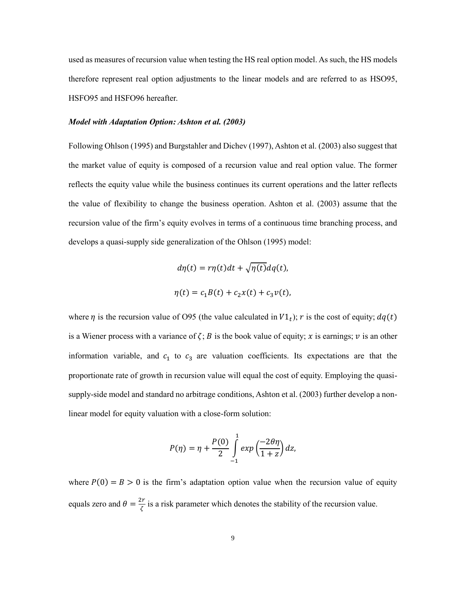used as measures of recursion value when testing the HS real option model. As such, the HS models therefore represent real option adjustments to the linear models and are referred to as HSO95, HSFO95 and HSFO96 hereafter.

#### *Model with Adaptation Option: Ashton et al. (2003)*

Following Ohlson (1995) and Burgstahler and Dichev (1997), Ashton et al. (2003) also suggest that the market value of equity is composed of a recursion value and real option value. The former reflects the equity value while the business continues its current operations and the latter reflects the value of flexibility to change the business operation. Ashton et al. (2003) assume that the recursion value of the firm's equity evolves in terms of a continuous time branching process, and develops a quasi-supply side generalization of the Ohlson (1995) model:

$$
d\eta(t) = r\eta(t)dt + \sqrt{\eta(t)}dq(t),
$$
  

$$
\eta(t) = c_1B(t) + c_2x(t) + c_3v(t),
$$

where  $\eta$  is the recursion value of O95 (the value calculated in  $VI_t$ ); r is the cost of equity;  $dq(t)$ is a Wiener process with a variance of  $\zeta$ ; B is the book value of equity; x is earnings; v is an other information variable, and  $c_1$  to  $c_3$  are valuation coefficients. Its expectations are that the proportionate rate of growth in recursion value will equal the cost of equity. Employing the quasisupply-side model and standard no arbitrage conditions, Ashton et al. (2003) further develop a nonlinear model for equity valuation with a close-form solution:

$$
P(\eta) = \eta + \frac{P(0)}{2} \int_{-1}^{1} exp\left(\frac{-2\theta\eta}{1+z}\right) dz,
$$

where  $P(0) = B > 0$  is the firm's adaptation option value when the recursion value of equity equals zero and  $\theta = \frac{2r}{z}$  $\frac{1}{\zeta}$  is a risk parameter which denotes the stability of the recursion value.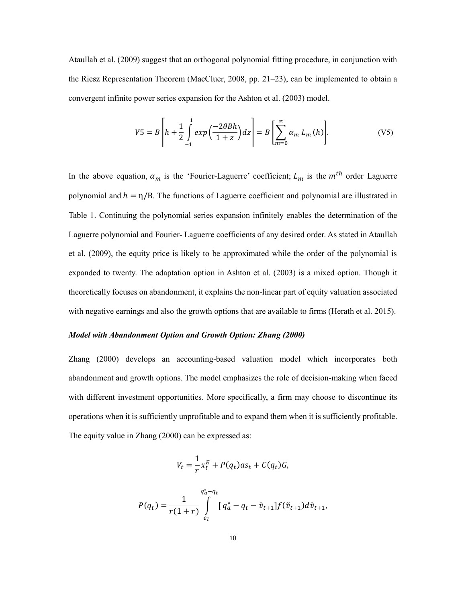Ataullah et al. (2009) suggest that an orthogonal polynomial fitting procedure, in conjunction with the Riesz Representation Theorem (MacCluer, 2008, pp. 21–23), can be implemented to obtain a convergent infinite power series expansion for the Ashton et al. (2003) model.

$$
V5 = B\left[h + \frac{1}{2} \int_{-1}^{1} exp\left(\frac{-2\theta Bh}{1+z}\right) dz\right] = B\left[\sum_{m=0}^{\infty} \alpha_m L_m(h)\right].
$$
 (V5)

In the above equation,  $\alpha_m$  is the 'Fourier-Laguerre' coefficient;  $L_m$  is the  $m^{th}$  order Laguerre polynomial and  $h = \eta/B$ . The functions of Laguerre coefficient and polynomial are illustrated in Table 1. Continuing the polynomial series expansion infinitely enables the determination of the Laguerre polynomial and Fourier- Laguerre coefficients of any desired order. As stated in Ataullah et al. (2009), the equity price is likely to be approximated while the order of the polynomial is expanded to twenty. The adaptation option in Ashton et al. (2003) is a mixed option. Though it theoretically focuses on abandonment, it explains the non-linear part of equity valuation associated with negative earnings and also the growth options that are available to firms (Herath et al. 2015).

# *Model with Abandonment Option and Growth Option: Zhang (2000)*

Zhang (2000) develops an accounting-based valuation model which incorporates both abandonment and growth options. The model emphasizes the role of decision-making when faced with different investment opportunities. More specifically, a firm may choose to discontinue its operations when it is sufficiently unprofitable and to expand them when it is sufficiently profitable. The equity value in Zhang (2000) can be expressed as:

$$
V_t = \frac{1}{r} x_t^E + P(q_t) a s_t + C(q_t) G,
$$

$$
P(q_t) = \frac{1}{r(1+r)} \int_{e_l}^{q_a^* - q_t} [q_a^* - q_t - \tilde{v}_{t+1}] f(\tilde{v}_{t+1}) d\tilde{v}_{t+1},
$$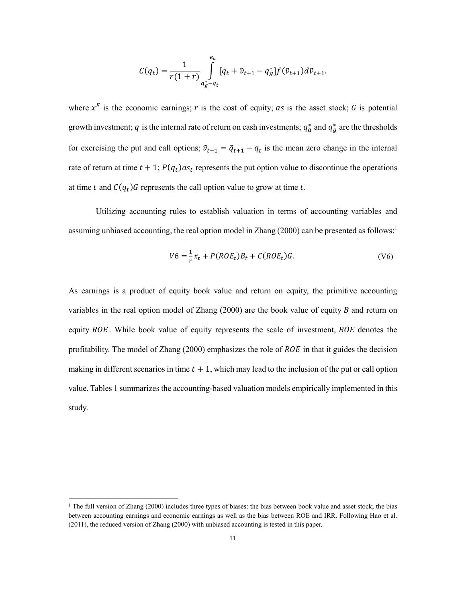$$
C(q_t) = \frac{1}{r(1+r)} \int_{q_g^+ - q_t}^{e_u} [q_t + \tilde{v}_{t+1} - q_g^*] f(\tilde{v}_{t+1}) d\tilde{v}_{t+1}.
$$

where  $x^E$  is the economic earnings; r is the cost of equity; as is the asset stock; G is potential growth investment; q is the internal rate of return on cash investments;  $q_a^*$  and  $q_g^*$  are the thresholds for exercising the put and call options;  $\tilde{v}_{t+1} = \tilde{q}_{t+1} - q_t$  is the mean zero change in the internal rate of return at time  $t + 1$ ;  $P(q_t)$  as<sub>t</sub> represents the put option value to discontinue the operations at time t and  $C(q_t)$  G represents the call option value to grow at time t.

Utilizing accounting rules to establish valuation in terms of accounting variables and assuming unbiased accounting, the real option model in Zhang (2000) can be presented as follows:<sup>1</sup>

$$
V6 = \frac{1}{r}x_t + P(ROE_t)B_t + C(ROE_t)G.
$$
 (V6)

As earnings is a product of equity book value and return on equity, the primitive accounting variables in the real option model of Zhang  $(2000)$  are the book value of equity B and return on equity  $ROE$ . While book value of equity represents the scale of investment,  $ROE$  denotes the profitability. The model of Zhang  $(2000)$  emphasizes the role of  $ROE$  in that it guides the decision making in different scenarios in time  $t + 1$ , which may lead to the inclusion of the put or call option value. Tables 1 summarizes the accounting-based valuation models empirically implemented in this study.

 $\overline{\phantom{a}}$ 

 $1$  The full version of Zhang (2000) includes three types of biases: the bias between book value and asset stock; the bias between accounting earnings and economic earnings as well as the bias between ROE and IRR. Following Hao et al. (2011), the reduced version of Zhang (2000) with unbiased accounting is tested in this paper.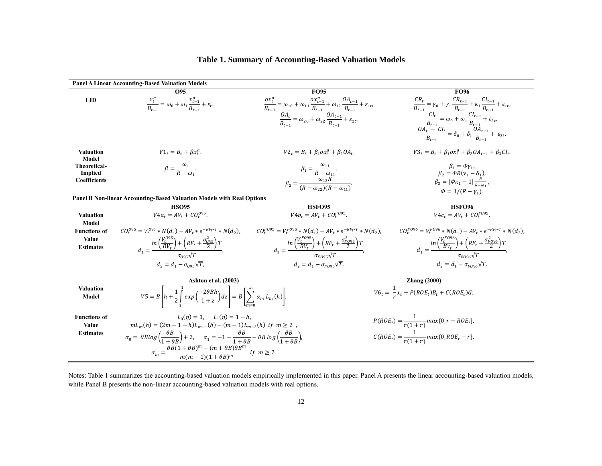# **Table 1. Summary of Accounting-Based Valuation Models**

|                                       | <b>Panel A Linear Accounting-Based Valuation Models</b>                                                                                                                                        |                                                                                                                                                                                                                                                           |                                                                                                                                                                                                                                                                                                                                                                      |
|---------------------------------------|------------------------------------------------------------------------------------------------------------------------------------------------------------------------------------------------|-----------------------------------------------------------------------------------------------------------------------------------------------------------------------------------------------------------------------------------------------------------|----------------------------------------------------------------------------------------------------------------------------------------------------------------------------------------------------------------------------------------------------------------------------------------------------------------------------------------------------------------------|
|                                       | O95                                                                                                                                                                                            | <b>FO95</b>                                                                                                                                                                                                                                               | <b>FO96</b>                                                                                                                                                                                                                                                                                                                                                          |
| <b>LID</b>                            | $\frac{x_t^u}{R_{1}} = \omega_0 + \omega_1 \frac{x_{t-1}^u}{R_{1}} + \varepsilon_t.$                                                                                                           | $\frac{\sigma x_t^a}{B_{t-1}} = \omega_{10} + \omega_{11} \frac{\sigma x_{t-1}^a}{B_{t-1}} + \omega_{12} \frac{OA_{t-1}}{B_{t-1}} + \varepsilon_{1t},$<br>$\frac{OA_t}{B_{t-1}} = \omega_{20} + \omega_{22} \frac{OA_{t-1}}{B_{t-1}} + \varepsilon_{2t}.$ |                                                                                                                                                                                                                                                                                                                                                                      |
|                                       |                                                                                                                                                                                                |                                                                                                                                                                                                                                                           | $\label{eq:R} \begin{split} \frac{CR_t}{B_{t-1}} &= \gamma_0 + \gamma_1 \frac{CR_{t-1}}{B_{t-1}} + \kappa_1 \frac{Cl_{t-1}}{B_{t-1}} + \varepsilon_{1t}, \\ \frac{Cl_t}{B_{t-1}} &= \omega_0 + \omega_1 \frac{Cl_{t-1}}{B_{t-1}} + \varepsilon_{2t}, \\ \frac{OA_t - Cl_t}{B_{t-1}} &= \delta_0 + \delta_1 \frac{OA_{t-1}}{B_{t-1}} + \varepsilon_{3t}. \end{split}$ |
| <b>Valuation</b><br>Model             | $V1_t = B_t + \beta x_t^a$ .                                                                                                                                                                   | $V2_t = B_t + \beta_1 \alpha x_t^a + \beta_2 O A_t$                                                                                                                                                                                                       | $V3_t = B_t + \beta_1 \alpha x_t^a + \beta_2 O A_{t-1} + \beta_3 C I_t$ .                                                                                                                                                                                                                                                                                            |
| <b>Theoretical-</b><br><b>Implied</b> | $\beta = \frac{\omega_1}{R - \omega_2}.$                                                                                                                                                       | $\beta_1 = \frac{\omega_{11}}{R - \omega_{11}}$                                                                                                                                                                                                           | $\beta_1 = \phi \gamma_1$<br>$\beta_2 = \Phi R(\gamma_1 - \delta_1),$                                                                                                                                                                                                                                                                                                |
| <b>Coefficients</b>                   |                                                                                                                                                                                                | $\beta_2 = \frac{\omega_{12}R}{(R - \omega_{22})(R - \omega_{32})}$                                                                                                                                                                                       | $\beta_3 = [\Phi \kappa_1 - 1] \frac{\bar{k}}{n}$ ,<br>$\Phi = 1/(R - \nu_1)$ .                                                                                                                                                                                                                                                                                      |
|                                       | <b>Panel B Non-linear Accounting-Based Valuation Models with Real Options</b>                                                                                                                  |                                                                                                                                                                                                                                                           |                                                                                                                                                                                                                                                                                                                                                                      |
|                                       | <b>HSO95</b>                                                                                                                                                                                   | HSFO95                                                                                                                                                                                                                                                    | <b>HSFO96</b>                                                                                                                                                                                                                                                                                                                                                        |
| <b>Valuation</b>                      | $V4a_t = AV_t + CO_t^{0.95}$                                                                                                                                                                   | $V4b_t = AV_t + CO_t^{F095}$                                                                                                                                                                                                                              | $V4c_t = AV_t + CO_t^{FO95}$ .                                                                                                                                                                                                                                                                                                                                       |
| Model                                 |                                                                                                                                                                                                |                                                                                                                                                                                                                                                           |                                                                                                                                                                                                                                                                                                                                                                      |
| <b>Functions of</b>                   | $CO_t^{0.95} = V_t^{0.95} * N(d_1) - AV_t * e^{-RF_t*T} * N(d_2)$                                                                                                                              | $CO_{t}^{F095} = V_{t}^{F095} * N(d_1) - AV_{t} * e^{-RF_{t}*T} * N(d_2),$                                                                                                                                                                                | $CO_{t}^{F096} = V_{t}^{F096} * N(d_1) - AV_{t} * e^{-RF_{t}*T} * N(d_2),$                                                                                                                                                                                                                                                                                           |
| Value                                 |                                                                                                                                                                                                |                                                                                                                                                                                                                                                           |                                                                                                                                                                                                                                                                                                                                                                      |
| <b>Estimates</b>                      | $d_1 = \frac{\ln\left(\frac{V_t^{0.95}}{BV_t}\right) + \left(RF_t + \frac{\sigma_{0.95}}{2}\right)T}{\sqrt{T}},$                                                                               | $d_1 = \frac{\ln\left(\frac{V_t^{V}C^{0.95}}{BV_t}\right) + \left(RF_t + \frac{\sigma_{F,0.95}}{2}\right)T}{\sigma_{\text{max}}\sqrt{T}},$                                                                                                                | $d_1 = \frac{\ln\left(\frac{V_t^{t \rightarrow \infty}}{BV_t}\right) + \left(RF_t + \frac{\sigma_{FQ96}^2}{2}\right)T}{\sigma_{\text{max}}\sqrt{T}},$                                                                                                                                                                                                                |
|                                       |                                                                                                                                                                                                |                                                                                                                                                                                                                                                           |                                                                                                                                                                                                                                                                                                                                                                      |
|                                       | $d_2 = d_1 - \sigma_{\text{net}} \sqrt{T}$                                                                                                                                                     | $d_2 = d_1 - \sigma_{FQ95}\sqrt{T}.$                                                                                                                                                                                                                      | $d_2 = d_1 - \sigma_{FQ96}\sqrt{T}.$                                                                                                                                                                                                                                                                                                                                 |
|                                       | <b>Ashton et al. (2003)</b>                                                                                                                                                                    |                                                                                                                                                                                                                                                           | <b>Zhang</b> (2000)                                                                                                                                                                                                                                                                                                                                                  |
| <b>Valuation</b><br>Model             | $VS = B\left  h + \frac{1}{2} \int \exp\left(\frac{-2\theta B h}{1+z}\right) dz \right  = B\left[\sum_{m=1}^{\infty} \alpha_m L_m(h)\right].$                                                  |                                                                                                                                                                                                                                                           | $V6_t = \frac{1}{2}x_t + P(ROE_t)B_t + C(ROE_t)G.$                                                                                                                                                                                                                                                                                                                   |
| <b>Functions of</b>                   | $L_0(n) = 1$ , $L_1(n) = 1 - h$ .                                                                                                                                                              |                                                                                                                                                                                                                                                           |                                                                                                                                                                                                                                                                                                                                                                      |
| Value                                 | $mL_m(h) = (2m - 1 - h)L_{m-1}(h) - (m - 1)L_{m-2}(h)$ if $m \ge 2$ ,                                                                                                                          |                                                                                                                                                                                                                                                           | $P(ROE_t) = \frac{1}{r(1+r)} max\{0, r - ROE_t\},\$                                                                                                                                                                                                                                                                                                                  |
| <b>Estimates</b>                      | $\alpha_0 = \theta B \log \left( \frac{\theta B}{1 + \theta B} \right) + 2, \quad \alpha_1 = -1 - \frac{\theta B}{1 + \theta B} - \theta B \log \left( \frac{\theta B}{1 + \theta B} \right),$ |                                                                                                                                                                                                                                                           | $C(ROE_t) = \frac{1}{r(1+r)} max\{0, ROE_t - r\}.$                                                                                                                                                                                                                                                                                                                   |
|                                       | $\alpha_m = \frac{\theta B (1 + \theta B)^m - (m + \theta B) \theta B^m}{m (m - 1)(1 + \theta B)^m}$ if $m \ge 2$ .                                                                            |                                                                                                                                                                                                                                                           |                                                                                                                                                                                                                                                                                                                                                                      |
|                                       |                                                                                                                                                                                                |                                                                                                                                                                                                                                                           |                                                                                                                                                                                                                                                                                                                                                                      |

Notes: Table 1 summarizes the accounting-based valuation models empirically implemented in this paper. Panel A presents the linear accounting-based valuation models, while Panel B presents the non-linear accounting-based valuation models with real options.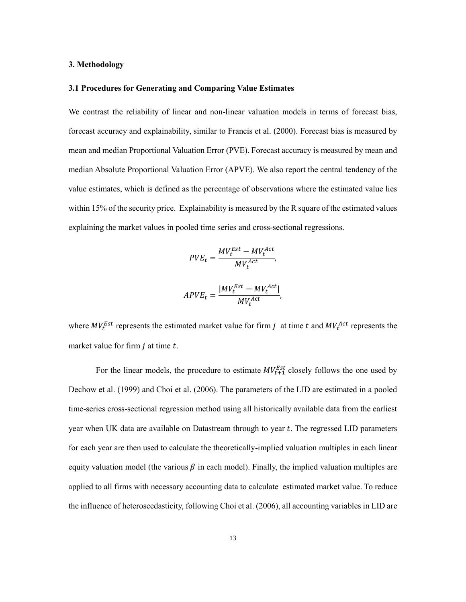## **3. Methodology**

#### **3.1 Procedures for Generating and Comparing Value Estimates**

We contrast the reliability of linear and non-linear valuation models in terms of forecast bias, forecast accuracy and explainability, similar to Francis et al. (2000). Forecast bias is measured by mean and median Proportional Valuation Error (PVE). Forecast accuracy is measured by mean and median Absolute Proportional Valuation Error (APVE). We also report the central tendency of the value estimates, which is defined as the percentage of observations where the estimated value lies within 15% of the security price. Explainability is measured by the R square of the estimated values explaining the market values in pooled time series and cross-sectional regressions.

$$
PVE_t = \frac{MV_t^{Est} - MV_t^{Act}}{MV_t^{Act}},
$$

$$
APVE_t = \frac{|MV_t^{Est} - MV_t^{Act}|}{MV_t^{Act}}
$$

,

where  $MV_t^{Est}$  represents the estimated market value for firm j at time t and  $MV_t^{Act}$  represents the market value for firm  $j$  at time  $t$ .

For the linear models, the procedure to estimate  $MV_{t+1}^{Est}$  closely follows the one used by Dechow et al. (1999) and Choi et al. (2006). The parameters of the LID are estimated in a pooled time-series cross-sectional regression method using all historically available data from the earliest year when UK data are available on Datastream through to year t. The regressed LID parameters for each year are then used to calculate the theoretically-implied valuation multiples in each linear equity valuation model (the various  $\beta$  in each model). Finally, the implied valuation multiples are applied to all firms with necessary accounting data to calculate estimated market value. To reduce the influence of heteroscedasticity, following Choi et al. (2006), all accounting variables in LID are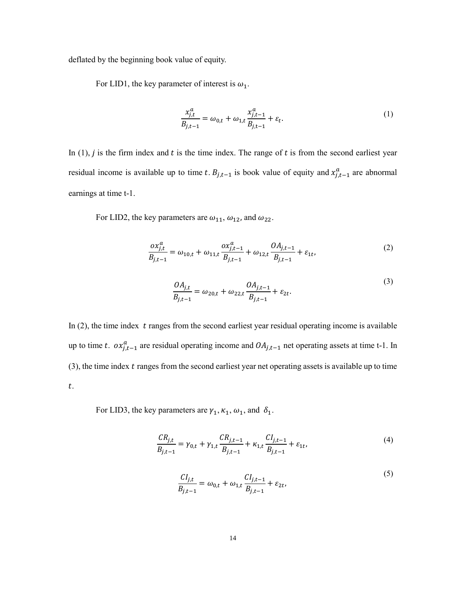deflated by the beginning book value of equity.

For LID1, the key parameter of interest is  $\omega_1$ .

$$
\frac{x_{j,t}^a}{B_{j,t-1}} = \omega_{0,t} + \omega_{1,t} \frac{x_{j,t-1}^a}{B_{j,t-1}} + \varepsilon_t.
$$
\n(1)

In  $(1)$ , *j* is the firm index and *t* is the time index. The range of *t* is from the second earliest year residual income is available up to time t.  $B_{j,t-1}$  is book value of equity and  $x_{j,t-1}^a$  are abnormal earnings at time t-1.

For LID2, the key parameters are  $\omega_{11}$ ,  $\omega_{12}$ , and  $\omega_{22}$ .

$$
\frac{ox_{j,t}^a}{B_{j,t-1}} = \omega_{10,t} + \omega_{11,t} \frac{ox_{j,t-1}^a}{B_{j,t-1}} + \omega_{12,t} \frac{OA_{j,t-1}}{B_{j,t-1}} + \varepsilon_{1t},
$$
\n(2)

$$
\frac{OA_{j,t}}{B_{j,t-1}} = \omega_{20,t} + \omega_{22,t} \frac{OA_{j,t-1}}{B_{j,t-1}} + \varepsilon_{2t}.
$$
\n(3)

In  $(2)$ , the time index t ranges from the second earliest year residual operating income is available up to time t.  $ox_{j,t-1}^a$  are residual operating income and  $OA_{j,t-1}$  net operating assets at time t-1. In  $(3)$ , the time index  $t$  ranges from the second earliest year net operating assets is available up to time .

For LID3, the key parameters are  $\gamma_1, \kappa_1, \omega_1$ , and  $\delta_1$ .

$$
\frac{CR_{j,t}}{B_{j,t-1}} = \gamma_{0,t} + \gamma_{1,t} \frac{CR_{j,t-1}}{B_{j,t-1}} + \kappa_{1,t} \frac{CI_{j,t-1}}{B_{j,t-1}} + \varepsilon_{1t},\tag{4}
$$

$$
\frac{CI_{j,t}}{B_{j,t-1}} = \omega_{0,t} + \omega_{1,t} \frac{CI_{j,t-1}}{B_{j,t-1}} + \varepsilon_{2t},
$$
\n(5)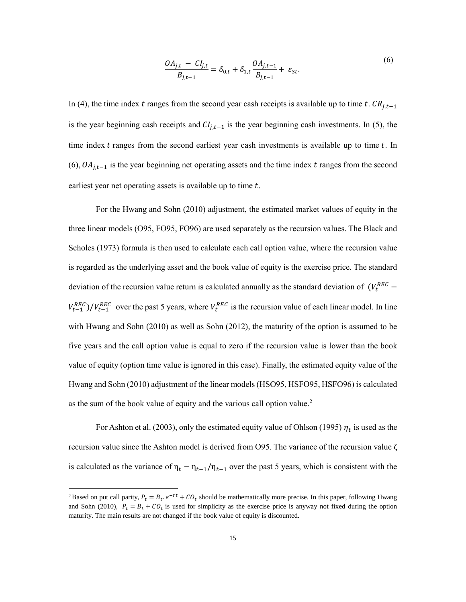$$
\frac{OA_{j,t} - CI_{j,t}}{B_{j,t-1}} = \delta_{0,t} + \delta_{1,t} \frac{OA_{j,t-1}}{B_{j,t-1}} + \varepsilon_{3t}.
$$
\n(6)

In (4), the time index *t* ranges from the second year cash receipts is available up to time *t*.  $CR_{j,t-1}$ is the year beginning cash receipts and  $Cl_{i,t-1}$  is the year beginning cash investments. In (5), the time index  $t$  ranges from the second earliest year cash investments is available up to time  $t$ . In (6),  $OA<sub>j,t-1</sub>$  is the year beginning net operating assets and the time index t ranges from the second earliest year net operating assets is available up to time  $t$ .

For the Hwang and Sohn (2010) adjustment, the estimated market values of equity in the three linear models (O95, FO95, FO96) are used separately as the recursion values. The Black and Scholes (1973) formula is then used to calculate each call option value, where the recursion value is regarded as the underlying asset and the book value of equity is the exercise price. The standard deviation of the recursion value return is calculated annually as the standard deviation of  $(V_t^{REC}$  $V_{t-1}^{REC}/V_{t-1}^{REC}$  over the past 5 years, where  $V_t^{REC}$  is the recursion value of each linear model. In line with Hwang and Sohn (2010) as well as Sohn (2012), the maturity of the option is assumed to be five years and the call option value is equal to zero if the recursion value is lower than the book value of equity (option time value is ignored in this case). Finally, the estimated equity value of the Hwang and Sohn (2010) adjustment of the linear models (HSO95, HSFO95, HSFO96) is calculated as the sum of the book value of equity and the various call option value.<sup>2</sup>

For Ashton et al. (2003), only the estimated equity value of Ohlson (1995)  $\eta_t$  is used as the recursion value since the Ashton model is derived from O95. The variance of the recursion value ζ is calculated as the variance of  $\eta_t - \eta_{t-1}/\eta_{t-1}$  over the past 5 years, which is consistent with the

 $\overline{\phantom{a}}$ 

<sup>&</sup>lt;sup>2</sup> Based on put call parity,  $P_t = B_t \cdot e^{-rt} + C O_t$  should be mathematically more precise. In this paper, following Hwang and Sohn (2010),  $P_t = B_t + CO_t$  is used for simplicity as the exercise price is anyway not fixed during the option maturity. The main results are not changed if the book value of equity is discounted.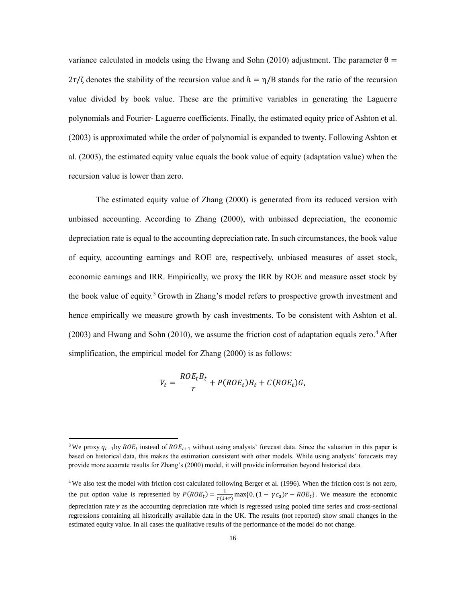variance calculated in models using the Hwang and Sohn (2010) adjustment. The parameter  $\theta =$  $2r/\zeta$  denotes the stability of the recursion value and  $h = \eta/B$  stands for the ratio of the recursion value divided by book value. These are the primitive variables in generating the Laguerre polynomials and Fourier- Laguerre coefficients. Finally, the estimated equity price of Ashton et al. (2003) is approximated while the order of polynomial is expanded to twenty. Following Ashton et al. (2003), the estimated equity value equals the book value of equity (adaptation value) when the recursion value is lower than zero.

The estimated equity value of Zhang (2000) is generated from its reduced version with unbiased accounting. According to Zhang (2000), with unbiased depreciation, the economic depreciation rate is equal to the accounting depreciation rate. In such circumstances, the book value of equity, accounting earnings and ROE are, respectively, unbiased measures of asset stock, economic earnings and IRR. Empirically, we proxy the IRR by ROE and measure asset stock by the book value of equity.<sup>3</sup> Growth in Zhang's model refers to prospective growth investment and hence empirically we measure growth by cash investments. To be consistent with Ashton et al.  $(2003)$  and Hwang and Sohn  $(2010)$ , we assume the friction cost of adaptation equals zero.<sup>4</sup> After simplification, the empirical model for Zhang (2000) is as follows:

$$
V_t = \frac{ROE_t B_t}{r} + P(ROE_t)B_t + C(ROE_t)G,
$$

 $\overline{\phantom{a}}$ 

<sup>&</sup>lt;sup>3</sup>We proxy  $q_{t+1}$ by  $ROE_t$  instead of  $ROE_{t+1}$  without using analysts' forecast data. Since the valuation in this paper is based on historical data, this makes the estimation consistent with other models. While using analysts' forecasts may provide more accurate results for Zhang's (2000) model, it will provide information beyond historical data.

<sup>4</sup> We also test the model with friction cost calculated following Berger et al. (1996). When the friction cost is not zero, the put option value is represented by  $P(ROE_t) = \frac{1}{r(1-t)}$  $\frac{1}{r(1+r)}$  max $\{0, (1 - \gamma c_a)r - ROE_t\}$ . We measure the economic depreciation rate  $\gamma$  as the accounting depreciation rate which is regressed using pooled time series and cross-sectional regressions containing all historically available data in the UK. The results (not reported) show small changes in the estimated equity value. In all cases the qualitative results of the performance of the model do not change.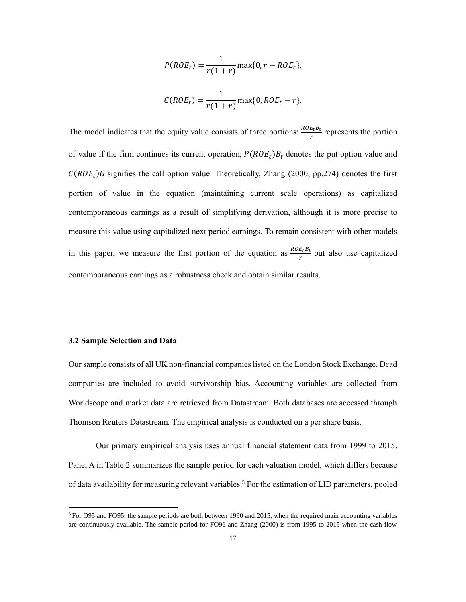$$
P(ROE_t) = \frac{1}{r(1+r)} \max\{0, r - ROE_t\},
$$
  

$$
C(ROE_t) = \frac{1}{r(1+r)} \max\{0, ROE_t - r\}.
$$

The model indicates that the equity value consists of three portions:  $\frac{ROE_tB_t}{r}$  represents the portion of value if the firm continues its current operation;  $P(ROE_t)B_t$  denotes the put option value and  $C(ROE_t)$ G signifies the call option value. Theoretically, Zhang (2000, pp.274) denotes the first portion of value in the equation (maintaining current scale operations) as capitalized contemporaneous earnings as a result of simplifying derivation, although it is more precise to measure this value using capitalized next period earnings. To remain consistent with other models in this paper, we measure the first portion of the equation as  $\frac{ROE_tB_t}{r}$  but also use capitalized contemporaneous earnings as a robustness check and obtain similar results.

## **3.2 Sample Selection and Data**

 $\overline{\phantom{a}}$ 

Our sample consists of all UK non-financial companies listed on the London Stock Exchange. Dead companies are included to avoid survivorship bias. Accounting variables are collected from Worldscope and market data are retrieved from Datastream. Both databases are accessed through Thomson Reuters Datastream. The empirical analysis is conducted on a per share basis.

Our primary empirical analysis uses annual financial statement data from 1999 to 2015. Panel A in Table 2 summarizes the sample period for each valuation model, which differs because of data availability for measuring relevant variables.<sup>5</sup> For the estimation of LID parameters, pooled

 $5$  For O95 and FO95, the sample periods are both between 1990 and 2015, when the required main accounting variables are continuously available. The sample period for FO96 and Zhang (2000) is from 1995 to 2015 when the cash flow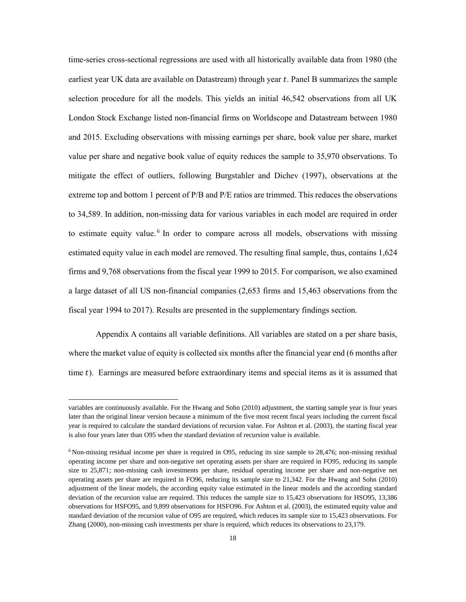time-series cross-sectional regressions are used with all historically available data from 1980 (the earliest year UK data are available on Datastream) through year  $t$ . Panel B summarizes the sample selection procedure for all the models. This yields an initial 46,542 observations from all UK London Stock Exchange listed non-financial firms on Worldscope and Datastream between 1980 and 2015. Excluding observations with missing earnings per share, book value per share, market value per share and negative book value of equity reduces the sample to 35,970 observations. To mitigate the effect of outliers, following Burgstahler and Dichev (1997), observations at the extreme top and bottom 1 percent of P/B and P/E ratios are trimmed. This reduces the observations to 34,589. In addition, non-missing data for various variables in each model are required in order to estimate equity value.<sup>6</sup> In order to compare across all models, observations with missing estimated equity value in each model are removed. The resulting final sample, thus, contains 1,624 firms and 9,768 observations from the fiscal year 1999 to 2015. For comparison, we also examined a large dataset of all US non-financial companies (2,653 firms and 15,463 observations from the fiscal year 1994 to 2017). Results are presented in the supplementary findings section.

Appendix A contains all variable definitions. All variables are stated on a per share basis, where the market value of equity is collected six months after the financial year end (6 months after time  $t$ ). Earnings are measured before extraordinary items and special items as it is assumed that

 $\overline{a}$ 

variables are continuously available. For the Hwang and Sohn (2010) adjustment, the starting sample year is four years later than the original linear version because a minimum of the five most recent fiscal years including the current fiscal year is required to calculate the standard deviations of recursion value. For Ashton et al. (2003), the starting fiscal year is also four years later than O95 when the standard deviation of recursion value is available.

 $6$  Non-missing residual income per share is required in O95, reducing its size sample to 28,476; non-missing residual operating income per share and non-negative net operating assets per share are required in FO95, reducing its sample size to 25,871; non-missing cash investments per share, residual operating income per share and non-negative net operating assets per share are required in FO96, reducing its sample size to 21,342. For the Hwang and Sohn (2010) adjustment of the linear models, the according equity value estimated in the linear models and the according standard deviation of the recursion value are required. This reduces the sample size to 15,423 observations for HSO95, 13,386 observations for HSFO95, and 9,899 observations for HSFO96. For Ashton et al. (2003), the estimated equity value and standard deviation of the recursion value of O95 are required, which reduces its sample size to 15,423 observations. For Zhang (2000), non-missing cash investments per share is required, which reduces its observations to 23,179.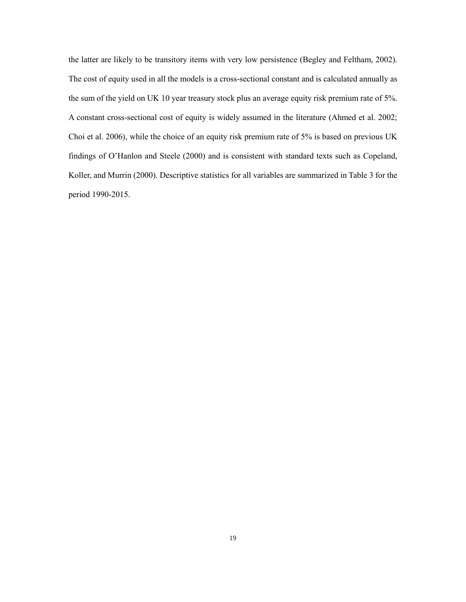the latter are likely to be transitory items with very low persistence (Begley and Feltham, 2002). The cost of equity used in all the models is a cross-sectional constant and is calculated annually as the sum of the yield on UK 10 year treasury stock plus an average equity risk premium rate of 5%. A constant cross-sectional cost of equity is widely assumed in the literature (Ahmed et al. 2002; Choi et al. 2006), while the choice of an equity risk premium rate of 5% is based on previous UK findings of O'Hanlon and Steele (2000) and is consistent with standard texts such as Copeland, Koller, and Murrin (2000). Descriptive statistics for all variables are summarized in Table 3 for the period 1990-2015.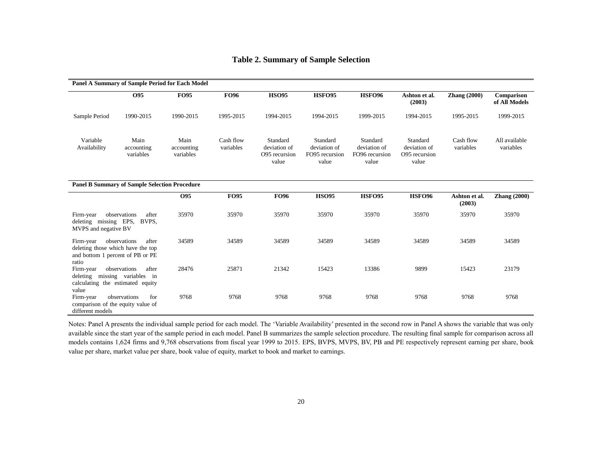|                                                                                                                           |                                | <b>Panel A Summary of Sample Period for Each Model</b> |                        |                                                                                                           |              |                                                     |                                                    |                         |                             |
|---------------------------------------------------------------------------------------------------------------------------|--------------------------------|--------------------------------------------------------|------------------------|-----------------------------------------------------------------------------------------------------------|--------------|-----------------------------------------------------|----------------------------------------------------|-------------------------|-----------------------------|
|                                                                                                                           | O <sub>95</sub>                | <b>FO95</b>                                            | <b>FO96</b>            | <b>HSO95</b>                                                                                              | HSFO95       | <b>HSFO96</b>                                       | Ashton et al.<br>(2003)                            | <b>Zhang</b> (2000)     | Comparison<br>of All Models |
| Sample Period                                                                                                             | 1990-2015                      | 1990-2015                                              | 1995-2015              | 1994-2015                                                                                                 | 1994-2015    | 1999-2015                                           | 1994-2015                                          | 1995-2015               | 1999-2015                   |
| Variable<br>Main<br>Availability<br>accounting<br>variables<br><b>Panel B Summary of Sample Selection Procedure</b>       |                                | Main<br>accounting<br>variables                        | Cash flow<br>variables | Standard<br>Standard<br>deviation of<br>deviation of<br>FO95 recursion<br>O95 recursion<br>value<br>value |              | Standard<br>deviation of<br>FO96 recursion<br>value | Standard<br>deviation of<br>O95 recursion<br>value | Cash flow<br>variables  | All available<br>variables  |
|                                                                                                                           |                                |                                                        |                        |                                                                                                           |              |                                                     |                                                    |                         |                             |
|                                                                                                                           |                                | O <sub>95</sub>                                        | <b>FO95</b>            | <b>FO96</b>                                                                                               | <b>HSO95</b> | HSFO95                                              | <b>HSFO96</b>                                      | Ashton et al.<br>(2003) | <b>Zhang</b> (2000)         |
| Firm-year<br>deleting missing EPS,<br>MVPS and negative BV                                                                | observations<br>after<br>BVPS, | 35970                                                  | 35970                  | 35970                                                                                                     | 35970        | 35970                                               | 35970                                              | 35970                   | 35970                       |
| Firm-year<br>deleting those which have the top<br>and bottom 1 percent of PB or PE                                        | observations<br>after          | 34589                                                  | 34589                  | 34589                                                                                                     | 34589        | 34589                                               | 34589                                              | 34589                   | 34589                       |
| ratio<br>observations<br>after<br>Firm-year<br>deleting missing variables in<br>calculating the estimated equity<br>value |                                | 28476                                                  |                        | 21342                                                                                                     | 15423        | 13386                                               | 9899                                               | 15423                   | 23179                       |
| Firm-year<br>comparison of the equity value of<br>different models                                                        | observations<br>for            | 9768                                                   | 9768                   | 9768                                                                                                      | 9768         | 9768                                                | 9768                                               | 9768                    | 9768                        |

# **Table 2. Summary of Sample Selection**

Notes: Panel A presents the individual sample period for each model. The 'Variable Availability' presented in the second row in Panel A shows the variable that was only available since the start year of the sample period in each model. Panel B summarizes the sample selection procedure. The resulting final sample for comparison across all models contains 1,624 firms and 9,768 observations from fiscal year 1999 to 2015. EPS, BVPS, MVPS, BV, PB and PE respectively represent earning per share, book value per share, market value per share, book value of equity, market to book and market to earnings.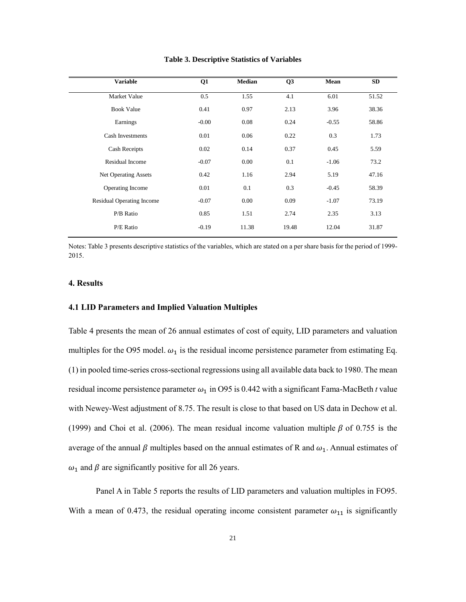| Q1      | <b>Median</b> | Q <sub>3</sub> | Mean    | <b>SD</b> |
|---------|---------------|----------------|---------|-----------|
| 0.5     | 1.55          | 4.1            | 6.01    | 51.52     |
| 0.41    | 0.97          | 2.13           | 3.96    | 38.36     |
| $-0.00$ | 0.08          | 0.24           | $-0.55$ | 58.86     |
| 0.01    | 0.06          | 0.22           | 0.3     | 1.73      |
| 0.02    | 0.14          | 0.37           | 0.45    | 5.59      |
| $-0.07$ | 0.00          | 0.1            | $-1.06$ | 73.2      |
| 0.42    | 1.16          | 2.94           | 5.19    | 47.16     |
| 0.01    | 0.1           | 0.3            | $-0.45$ | 58.39     |
| $-0.07$ | 0.00          | 0.09           | $-1.07$ | 73.19     |
| 0.85    | 1.51          | 2.74           | 2.35    | 3.13      |
| $-0.19$ | 11.38         | 19.48          | 12.04   | 31.87     |
|         |               |                |         |           |

**Table 3. Descriptive Statistics of Variables**

Notes: Table 3 presents descriptive statistics of the variables, which are stated on a per share basis for the period of 1999- 2015.

## **4. Results**

## **4.1 LID Parameters and Implied Valuation Multiples**

Table 4 presents the mean of 26 annual estimates of cost of equity, LID parameters and valuation multiples for the O95 model.  $\omega_1$  is the residual income persistence parameter from estimating Eq. (1) in pooled time-series cross-sectional regressions using all available data back to 1980. The mean residual income persistence parameter  $\omega_1$  in O95 is 0.442 with a significant Fama-MacBeth *t* value with Newey-West adjustment of 8.75. The result is close to that based on US data in Dechow et al. (1999) and Choi et al. (2006). The mean residual income valuation multiple  $\beta$  of 0.755 is the average of the annual  $\beta$  multiples based on the annual estimates of R and  $\omega_1$ . Annual estimates of  $\omega_1$  and  $\beta$  are significantly positive for all 26 years.

Panel A in Table 5 reports the results of LID parameters and valuation multiples in FO95. With a mean of 0.473, the residual operating income consistent parameter  $\omega_{11}$  is significantly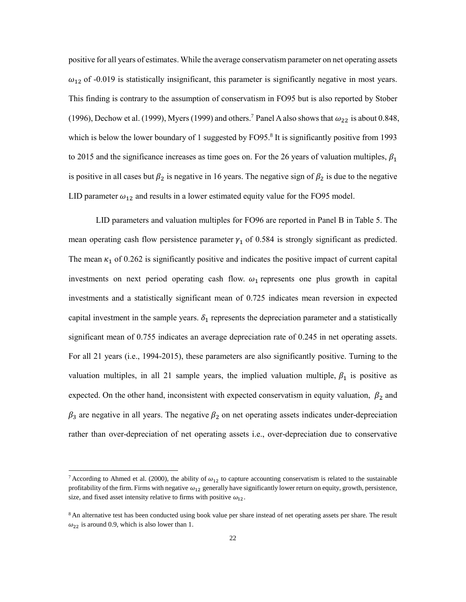positive for all years of estimates. While the average conservatism parameter on net operating assets  $\omega_{12}$  of -0.019 is statistically insignificant, this parameter is significantly negative in most years. This finding is contrary to the assumption of conservatism in FO95 but is also reported by Stober (1996), Dechow et al. (1999), Myers (1999) and others.<sup>7</sup> Panel A also shows that  $\omega_{22}$  is about 0.848, which is below the lower boundary of 1 suggested by FO95.<sup>8</sup> It is significantly positive from 1993 to 2015 and the significance increases as time goes on. For the 26 years of valuation multiples,  $\beta_1$ is positive in all cases but  $\beta_2$  is negative in 16 years. The negative sign of  $\beta_2$  is due to the negative LID parameter  $\omega_{12}$  and results in a lower estimated equity value for the FO95 model.

LID parameters and valuation multiples for FO96 are reported in Panel B in Table 5. The mean operating cash flow persistence parameter  $\gamma_1$  of 0.584 is strongly significant as predicted. The mean  $\kappa_1$  of 0.262 is significantly positive and indicates the positive impact of current capital investments on next period operating cash flow.  $\omega_1$  represents one plus growth in capital investments and a statistically significant mean of 0.725 indicates mean reversion in expected capital investment in the sample years.  $\delta_1$  represents the depreciation parameter and a statistically significant mean of 0.755 indicates an average depreciation rate of 0.245 in net operating assets. For all 21 years (i.e., 1994-2015), these parameters are also significantly positive. Turning to the valuation multiples, in all 21 sample years, the implied valuation multiple,  $\beta_1$  is positive as expected. On the other hand, inconsistent with expected conservatism in equity valuation,  $\beta_2$  and  $\beta_3$  are negative in all years. The negative  $\beta_2$  on net operating assets indicates under-depreciation rather than over-depreciation of net operating assets i.e., over-depreciation due to conservative

l

<sup>&</sup>lt;sup>7</sup> According to Ahmed et al. (2000), the ability of  $\omega_{12}$  to capture accounting conservatism is related to the sustainable profitability of the firm. Firms with negative  $\omega_{12}$  generally have significantly lower return on equity, growth, persistence, size, and fixed asset intensity relative to firms with positive  $\omega_{12}$ .

<sup>&</sup>lt;sup>8</sup> An alternative test has been conducted using book value per share instead of net operating assets per share. The result  $\omega_{22}$  is around 0.9, which is also lower than 1.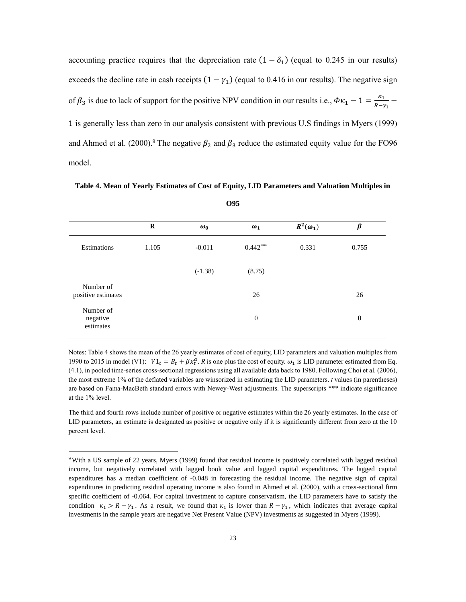accounting practice requires that the depreciation rate  $(1 - \delta_1)$  (equal to 0.245 in our results) exceeds the decline rate in cash receipts  $(1 - \gamma_1)$  (equal to 0.416 in our results). The negative sign of  $\beta_3$  is due to lack of support for the positive NPV condition in our results i.e.,  $\Phi \kappa_1 - 1 = \frac{\kappa_1}{R-1}$  $\frac{1}{R-\gamma_1}$  – 1 is generally less than zero in our analysis consistent with previous U.S findings in Myers (1999) and Ahmed et al. (2000).<sup>9</sup> The negative  $\beta_2$  and  $\beta_3$  reduce the estimated equity value for the FO96 model.

**Table 4. Mean of Yearly Estimates of Cost of Equity, LID Parameters and Valuation Multiples in** 

|                                    | R     | $\omega_0$ | $\omega_1$   | $R^2(\omega_1)$ | β                |
|------------------------------------|-------|------------|--------------|-----------------|------------------|
| Estimations                        | 1.105 | $-0.011$   | $0.442***$   | 0.331           | 0.755            |
|                                    |       | $(-1.38)$  | (8.75)       |                 |                  |
| Number of<br>positive estimates    |       |            | 26           |                 | 26               |
| Number of<br>negative<br>estimates |       |            | $\mathbf{0}$ |                 | $\boldsymbol{0}$ |

**O95**

Notes: Table 4 shows the mean of the 26 yearly estimates of cost of equity, LID parameters and valuation multiples from 1990 to 2015 in model (V1):  $VI_t = B_t + \beta x_t^a$ . *R* is one plus the cost of equity.  $\omega_1$  is LID parameter estimated from Eq. (4.1), in pooled time-series cross-sectional regressions using all available data back to 1980. Following Choi et al. (2006), the most extreme 1% of the deflated variables are winsorized in estimating the LID parameters. *t* values (in parentheses) are based on Fama-MacBeth standard errors with Newey-West adjustments. The superscripts \*\*\* indicate significance at the 1% level.

The third and fourth rows include number of positive or negative estimates within the 26 yearly estimates. In the case of LID parameters, an estimate is designated as positive or negative only if it is significantly different from zero at the 10 percent level.

l

<sup>&</sup>lt;sup>9</sup> With a US sample of 22 years, Myers (1999) found that residual income is positively correlated with lagged residual income, but negatively correlated with lagged book value and lagged capital expenditures. The lagged capital expenditures has a median coefficient of -0.048 in forecasting the residual income. The negative sign of capital expenditures in predicting residual operating income is also found in Ahmed et al. (2000), with a cross-sectional firm specific coefficient of -0.064. For capital investment to capture conservatism, the LID parameters have to satisfy the condition  $\kappa_1 > R - \gamma_1$ . As a result, we found that  $\kappa_1$  is lower than  $R - \gamma_1$ , which indicates that average capital investments in the sample years are negative Net Present Value (NPV) investments as suggested in Myers (1999).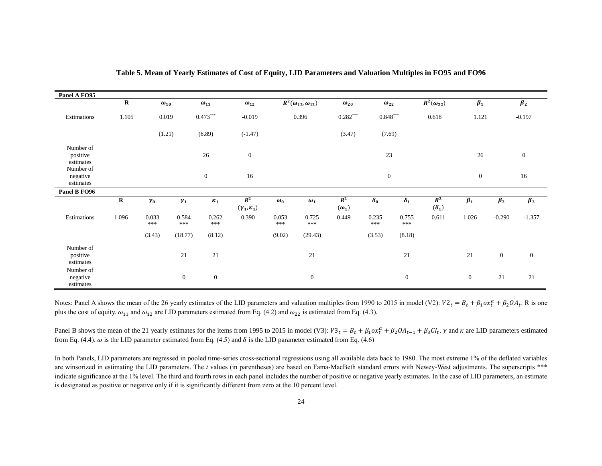| Panel A FO95                       |             |               |              |                  |                                |              |                                |                       |               |                  |                                    |              |                |              |
|------------------------------------|-------------|---------------|--------------|------------------|--------------------------------|--------------|--------------------------------|-----------------------|---------------|------------------|------------------------------------|--------------|----------------|--------------|
|                                    | $\mathbf R$ | $\omega_{10}$ |              | $\omega_{11}$    | $\omega_{12}$                  |              | $R^2(\omega_{12},\omega_{12})$ | $\omega_{20}$         | $\omega_{22}$ |                  | $\overline{R^2(\omega_{22})}$      | $\beta_1$    |                | $\beta_2$    |
| Estimations                        | 1.105       | 0.019         |              | $0.473***$       | $-0.019$                       |              | 0.396                          |                       | $0.848***$    |                  | 0.618                              | 1.121        |                | $-0.197$     |
|                                    |             | (1.21)        |              | (6.89)           | $(-1.47)$                      |              |                                | (3.47)                | (7.69)        |                  |                                    |              |                |              |
| Number of<br>positive<br>estimates |             |               |              | 26               | $\boldsymbol{0}$               |              |                                |                       | 23            |                  |                                    | 26           |                | $\mathbf{0}$ |
| Number of<br>negative<br>estimates |             |               |              | $\mathbf{0}$     | 16                             |              |                                |                       | $\mathbf{0}$  |                  |                                    | $\mathbf{0}$ |                | 16           |
| Panel B FO96                       |             |               |              |                  |                                |              |                                |                       |               |                  |                                    |              |                |              |
|                                    | $\mathbf R$ | $\gamma_0$    | $\gamma_1$   | $\kappa_1$       | $R^2$<br>$(\gamma_1,\kappa_1)$ | $\omega_0$   | $\omega_1$                     | $R^2$<br>$(\omega_1)$ | $\delta_0$    | $\pmb{\delta}_1$ | $R^2$<br>$(\boldsymbol{\delta}_1)$ | $\beta_1$    | $\beta_2$      | $\beta_3$    |
| Estimations                        | 1.096       | 0.033<br>***  | 0.584<br>*** | 0.262<br>***     | 0.390                          | 0.053<br>*** | 0.725<br>***                   | 0.449                 | 0.235<br>***  | 0.755<br>***     | 0.611                              | 1.026        | $-0.290$       | $-1.357$     |
|                                    |             | (3.43)        | (18.77)      | (8.12)           |                                | (9.02)       | (29.43)                        |                       | (3.53)        | (8.18)           |                                    |              |                |              |
| Number of<br>positive<br>estimates |             |               | 21           | 21               |                                |              | 21                             |                       |               | 21               |                                    | 21           | $\overline{0}$ | $\mathbf{0}$ |
| Number of<br>negative<br>estimates |             |               | $\mathbf{0}$ | $\boldsymbol{0}$ |                                |              | $\boldsymbol{0}$               |                       |               | $\mathbf{0}$     |                                    | $\mathbf{0}$ | 21             | 21           |

**Table 5. Mean of Yearly Estimates of Cost of Equity, LID Parameters and Valuation Multiples in FO95 and FO96**

Notes: Panel A shows the mean of the 26 yearly estimates of the LID parameters and valuation multiples from 1990 to 2015 in model (V2):  $V2_t = B_t + \beta_1 \alpha x_t^a + \beta_2 O A_t$ . R is one plus the cost of equity.  $\omega_{11}$  and  $\omega_{12}$  are LID parameters estimated from Eq. (4.2) and  $\omega_{22}$  is estimated from Eq. (4.3).

Panel B shows the mean of the 21 yearly estimates for the items from 1995 to 2015 in model (V3):  $V3_t = B_t + \beta_1 \alpha x_t^a + \beta_2 O A_{t-1} + \beta_3 C I_t$ .  $\gamma$  and  $\kappa$  are LID parameters estimated from Eq. (4.4).  $\omega$  is the LID parameter estimated from Eq. (4.5) and  $\delta$  is the LID parameter estimated from Eq. (4.6)

In both Panels, LID parameters are regressed in pooled time-series cross-sectional regressions using all available data back to 1980. The most extreme 1% of the deflated variables are winsorized in estimating the LID parameters. The *t* values (in parentheses) are based on Fama-MacBeth standard errors with Newey-West adjustments. The superscripts \*\*\* indicate significance at the 1% level. The third and fourth rows in each panel includes the number of positive or negative yearly estimates. In the case of LID parameters, an estimate is designated as positive or negative only if it is significantly different from zero at the 10 percent level.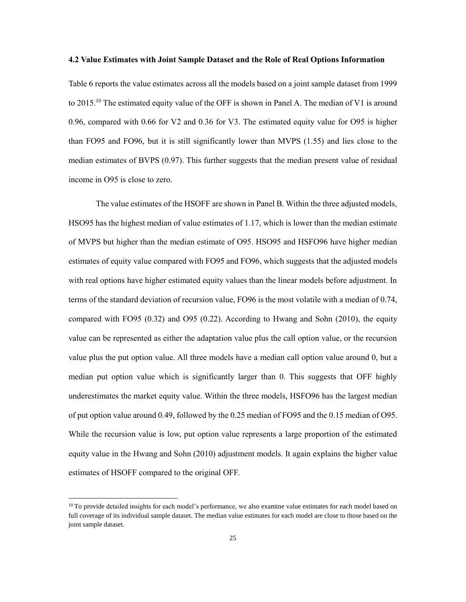#### **4.2 Value Estimates with Joint Sample Dataset and the Role of Real Options Information**

Table 6 reports the value estimates across all the models based on a joint sample dataset from 1999 to 2015.<sup>10</sup> The estimated equity value of the OFF is shown in Panel A. The median of V1 is around 0.96, compared with 0.66 for V2 and 0.36 for V3. The estimated equity value for O95 is higher than FO95 and FO96, but it is still significantly lower than MVPS (1.55) and lies close to the median estimates of BVPS (0.97). This further suggests that the median present value of residual income in O95 is close to zero.

The value estimates of the HSOFF are shown in Panel B. Within the three adjusted models, HSO95 has the highest median of value estimates of 1.17, which is lower than the median estimate of MVPS but higher than the median estimate of O95. HSO95 and HSFO96 have higher median estimates of equity value compared with FO95 and FO96, which suggests that the adjusted models with real options have higher estimated equity values than the linear models before adjustment. In terms of the standard deviation of recursion value, FO96 is the most volatile with a median of 0.74, compared with FO95 (0.32) and O95 (0.22). According to Hwang and Sohn (2010), the equity value can be represented as either the adaptation value plus the call option value, or the recursion value plus the put option value. All three models have a median call option value around 0, but a median put option value which is significantly larger than 0. This suggests that OFF highly underestimates the market equity value. Within the three models, HSFO96 has the largest median of put option value around 0.49, followed by the 0.25 median of FO95 and the 0.15 median of O95. While the recursion value is low, put option value represents a large proportion of the estimated equity value in the Hwang and Sohn (2010) adjustment models. It again explains the higher value estimates of HSOFF compared to the original OFF.

 $\overline{\phantom{a}}$ 

 $10$  To provide detailed insights for each model's performance, we also examine value estimates for each model based on full coverage of its individual sample dataset. The median value estimates for each model are close to those based on the joint sample dataset.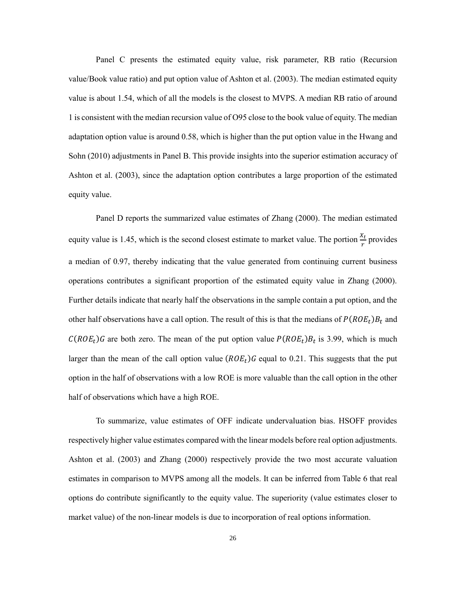Panel C presents the estimated equity value, risk parameter, RB ratio (Recursion value/Book value ratio) and put option value of Ashton et al. (2003). The median estimated equity value is about 1.54, which of all the models is the closest to MVPS. A median RB ratio of around 1 is consistent with the median recursion value of O95 close to the book value of equity. The median adaptation option value is around 0.58, which is higher than the put option value in the Hwang and Sohn (2010) adjustments in Panel B. This provide insights into the superior estimation accuracy of Ashton et al. (2003), since the adaptation option contributes a large proportion of the estimated equity value.

Panel D reports the summarized value estimates of Zhang (2000). The median estimated equity value is 1.45, which is the second closest estimate to market value. The portion  $\frac{x_t}{r}$  provides a median of 0.97, thereby indicating that the value generated from continuing current business operations contributes a significant proportion of the estimated equity value in Zhang (2000). Further details indicate that nearly half the observations in the sample contain a put option, and the other half observations have a call option. The result of this is that the medians of  $P(ROE_t)B_t$  and  $C(ROE_t)$ G are both zero. The mean of the put option value  $P(ROE_t)B_t$  is 3.99, which is much larger than the mean of the call option value  $(ROE_t)G$  equal to 0.21. This suggests that the put option in the half of observations with a low ROE is more valuable than the call option in the other half of observations which have a high ROE.

To summarize, value estimates of OFF indicate undervaluation bias. HSOFF provides respectively higher value estimates compared with the linear models before real option adjustments. Ashton et al. (2003) and Zhang (2000) respectively provide the two most accurate valuation estimates in comparison to MVPS among all the models. It can be inferred from Table 6 that real options do contribute significantly to the equity value. The superiority (value estimates closer to market value) of the non-linear models is due to incorporation of real options information.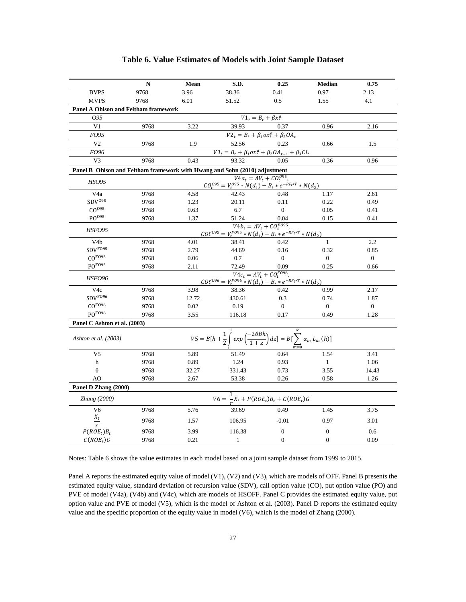|                                                                            | N    | Mean                                                                             | S.D.         | 0.25                                                                                                                                                                                       | <b>Median</b>    | 0.75             |  |  |  |  |  |  |
|----------------------------------------------------------------------------|------|----------------------------------------------------------------------------------|--------------|--------------------------------------------------------------------------------------------------------------------------------------------------------------------------------------------|------------------|------------------|--|--|--|--|--|--|
| <b>BVPS</b>                                                                | 9768 | 3.96                                                                             | 38.36        | 0.41                                                                                                                                                                                       | 0.97             | 2.13             |  |  |  |  |  |  |
| <b>MVPS</b>                                                                | 9768 | 6.01                                                                             | 51.52        | 0.5                                                                                                                                                                                        | 1.55             | 4.1              |  |  |  |  |  |  |
| <b>Panel A Ohlson and Feltham framework</b>                                |      |                                                                                  |              |                                                                                                                                                                                            |                  |                  |  |  |  |  |  |  |
| O95                                                                        |      |                                                                                  |              | $VI_t = B_t + \beta x_t^a$                                                                                                                                                                 |                  |                  |  |  |  |  |  |  |
| V <sub>1</sub>                                                             | 9768 | 3.22                                                                             | 39.93        | 0.37                                                                                                                                                                                       | 0.96             | 2.16             |  |  |  |  |  |  |
| FO95                                                                       |      |                                                                                  |              | $V2_t = B_t + \beta_1 \alpha x_t^a + \beta_2 O A_t$                                                                                                                                        |                  |                  |  |  |  |  |  |  |
| V <sub>2</sub>                                                             | 9768 | 1.9                                                                              | 52.56        | 0.23                                                                                                                                                                                       | 0.66             | 1.5              |  |  |  |  |  |  |
| FO <sub>96</sub>                                                           |      |                                                                                  |              | $\frac{V3_t = B_t + \beta_1 \alpha x_t^a + \beta_2 O A_{t-1} + \beta_3 C I_t}{93.32}$                                                                                                      |                  |                  |  |  |  |  |  |  |
| V <sub>3</sub>                                                             | 9768 | 0.43                                                                             |              |                                                                                                                                                                                            | 0.36             | 0.96             |  |  |  |  |  |  |
| Panel B Ohlson and Feltham framework with Hwang and Sohn (2010) adjustment |      |                                                                                  |              |                                                                                                                                                                                            |                  |                  |  |  |  |  |  |  |
| <b>HSO95</b>                                                               |      |                                                                                  |              | $V4a_t = AV_t + CO_t^{095}$ ,                                                                                                                                                              |                  |                  |  |  |  |  |  |  |
|                                                                            |      | $\frac{C Q_t^{095} = V_t^{095} * N(d_1) - B_t * e^{-R F_t * T} * N(d_2)}{42.43}$ |              |                                                                                                                                                                                            |                  |                  |  |  |  |  |  |  |
| V4a                                                                        | 9768 | 4.58                                                                             |              | 0.48                                                                                                                                                                                       | 1.17             | 2.61             |  |  |  |  |  |  |
| SDV <sup>095</sup>                                                         | 9768 | 1.23                                                                             | 20.11        | 0.11                                                                                                                                                                                       | 0.22             | 0.49             |  |  |  |  |  |  |
| CO <sup>095</sup>                                                          | 9768 | 0.63                                                                             | 6.7          | $\overline{0}$                                                                                                                                                                             | 0.05             | 0.41             |  |  |  |  |  |  |
| PO <sup>095</sup>                                                          | 9768 | 1.37                                                                             | 51.24        | 0.04                                                                                                                                                                                       | 0.15             | 0.41             |  |  |  |  |  |  |
| <b>HSFO95</b>                                                              |      |                                                                                  |              | $CO_t^{F095} = V_t^{F095} * N(d_1) - B_t * e^{-RF_t+T} * N(d_2)$                                                                                                                           |                  |                  |  |  |  |  |  |  |
| V <sub>4</sub> b                                                           | 9768 | 4.01                                                                             | 38.41        | 0.42                                                                                                                                                                                       | $\mathbf{1}$     | 2.2              |  |  |  |  |  |  |
| SDV <sup>FO95</sup>                                                        | 9768 | 2.79                                                                             | 44.69        | 0.16                                                                                                                                                                                       | 0.32             | 0.85             |  |  |  |  |  |  |
| CO <sup>FO95</sup>                                                         | 9768 | 0.06                                                                             | 0.7          | $\overline{0}$                                                                                                                                                                             | $\overline{0}$   | $\overline{0}$   |  |  |  |  |  |  |
| PO <sup>FO95</sup>                                                         | 9768 | 2.11                                                                             | 72.49        | 0.09                                                                                                                                                                                       | 0.25             | 0.66             |  |  |  |  |  |  |
| <b>HSFO96</b>                                                              |      |                                                                                  |              | $\label{eq:2} V4c_t = AV_t + CO_t^{F096},$<br>$\label{eq:2} CO_t^{F096} = V_t^{F096} * N(d_1) - B_t * e^{-RF_t*T} * N(d_2)$                                                                |                  |                  |  |  |  |  |  |  |
| V <sub>4</sub> c                                                           | 9768 | 3.98                                                                             | 38.36        | 0.42                                                                                                                                                                                       | 0.99             | 2.17             |  |  |  |  |  |  |
| SDV <sup>FO96</sup>                                                        | 9768 | 12.72                                                                            | 430.61       | 0.3                                                                                                                                                                                        | 0.74             | 1.87             |  |  |  |  |  |  |
| CO <sup>F096</sup>                                                         | 9768 | 0.02                                                                             | 0.19         | $\overline{0}$                                                                                                                                                                             | $\mathbf{0}$     | $\boldsymbol{0}$ |  |  |  |  |  |  |
| PO <sup>FO96</sup>                                                         | 9768 | 3.55                                                                             | 116.18       | 0.17                                                                                                                                                                                       | 0.49             | 1.28             |  |  |  |  |  |  |
| Panel C Ashton et al. (2003)                                               |      |                                                                                  |              |                                                                                                                                                                                            |                  |                  |  |  |  |  |  |  |
| Ashton et al. (2003)                                                       |      |                                                                                  |              | $\label{eq:V5} V5 = B\big[ h + \frac{1}{2} \int\limits_{0}^{1} exp\left(\frac{-2\theta B h}{1+z}\right) dz \big] = B\big[ \sum\limits_{m}^{\infty} \alpha_m \, L_m \left( h \right) \big]$ |                  |                  |  |  |  |  |  |  |
| V5                                                                         | 9768 | 5.89                                                                             | 51.49        | 0.64                                                                                                                                                                                       | 1.54             | 3.41             |  |  |  |  |  |  |
| $\boldsymbol{\mathrm{h}}$                                                  | 9768 | 0.89                                                                             | 1.24         | 0.93                                                                                                                                                                                       | $\mathbf{1}$     | 1.06             |  |  |  |  |  |  |
| $\theta$                                                                   | 9768 | 32.27                                                                            | 331.43       | 0.73                                                                                                                                                                                       | 3.55             | 14.43            |  |  |  |  |  |  |
| AO                                                                         | 9768 | 2.67                                                                             | 53.38        | 0.26                                                                                                                                                                                       | 0.58             | 1.26             |  |  |  |  |  |  |
| Panel D Zhang (2000)                                                       |      |                                                                                  |              |                                                                                                                                                                                            |                  |                  |  |  |  |  |  |  |
| Zhang (2000)                                                               |      |                                                                                  |              | $V6 = \frac{1}{r}X_t + P(ROE_t)B_t + C(ROE_t)G$                                                                                                                                            |                  |                  |  |  |  |  |  |  |
| V <sub>6</sub>                                                             | 9768 | 5.76                                                                             | 39.69        | 0.49                                                                                                                                                                                       | 1.45             | 3.75             |  |  |  |  |  |  |
| $\frac{X_t}{r}$                                                            | 9768 | 1.57                                                                             | 106.95       | $-0.01$                                                                                                                                                                                    | 0.97             | 3.01             |  |  |  |  |  |  |
| $P(ROE_t)B_t$                                                              | 9768 | 3.99                                                                             | 116.38       | $\boldsymbol{0}$                                                                                                                                                                           | $\boldsymbol{0}$ | 0.6              |  |  |  |  |  |  |
| $C(ROE_t)$ G                                                               | 9768 | 0.21                                                                             | $\mathbf{1}$ | $\mathbf{0}$                                                                                                                                                                               | $\mathbf{0}$     | 0.09             |  |  |  |  |  |  |

## **Table 6. Value Estimates of Models with Joint Sample Dataset**

Notes: Table 6 shows the value estimates in each model based on a joint sample dataset from 1999 to 2015.

Panel A reports the estimated equity value of model (V1), (V2) and (V3), which are models of OFF. Panel B presents the estimated equity value, standard deviation of recursion value (SDV), call option value (CO), put option value (PO) and PVE of model (V4a), (V4b) and (V4c), which are models of HSOFF. Panel C provides the estimated equity value, put option value and PVE of model (V5), which is the model of Ashton et al. (2003). Panel D reports the estimated equity value and the specific proportion of the equity value in model (V6), which is the model of Zhang (2000).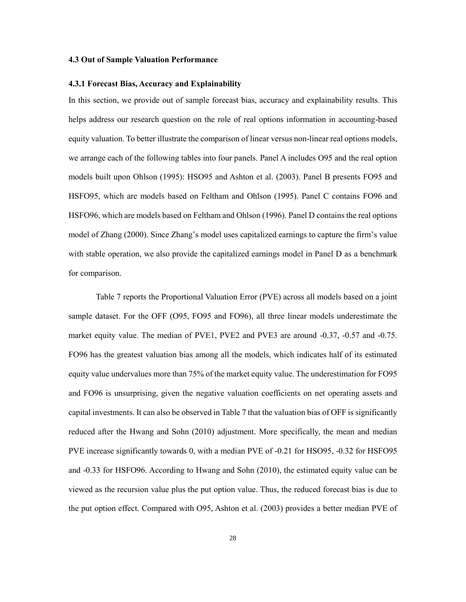#### **4.3 Out of Sample Valuation Performance**

## **4.3.1 Forecast Bias, Accuracy and Explainability**

In this section, we provide out of sample forecast bias, accuracy and explainability results. This helps address our research question on the role of real options information in accounting-based equity valuation. To better illustrate the comparison of linear versus non-linear real options models, we arrange each of the following tables into four panels. Panel A includes O95 and the real option models built upon Ohlson (1995): HSO95 and Ashton et al. (2003). Panel B presents FO95 and HSFO95, which are models based on Feltham and Ohlson (1995). Panel C contains FO96 and HSFO96, which are models based on Feltham and Ohlson (1996). Panel D contains the real options model of Zhang (2000). Since Zhang's model uses capitalized earnings to capture the firm's value with stable operation, we also provide the capitalized earnings model in Panel D as a benchmark for comparison.

Table 7 reports the Proportional Valuation Error (PVE) across all models based on a joint sample dataset. For the OFF (O95, FO95 and FO96), all three linear models underestimate the market equity value. The median of PVE1, PVE2 and PVE3 are around -0.37, -0.57 and -0.75. FO96 has the greatest valuation bias among all the models, which indicates half of its estimated equity value undervalues more than 75% of the market equity value. The underestimation for FO95 and FO96 is unsurprising, given the negative valuation coefficients on net operating assets and capital investments. It can also be observed in Table 7 that the valuation bias of OFF is significantly reduced after the Hwang and Sohn (2010) adjustment. More specifically, the mean and median PVE increase significantly towards 0, with a median PVE of -0.21 for HSO95, -0.32 for HSFO95 and -0.33 for HSFO96. According to Hwang and Sohn (2010), the estimated equity value can be viewed as the recursion value plus the put option value. Thus, the reduced forecast bias is due to the put option effect. Compared with O95, Ashton et al. (2003) provides a better median PVE of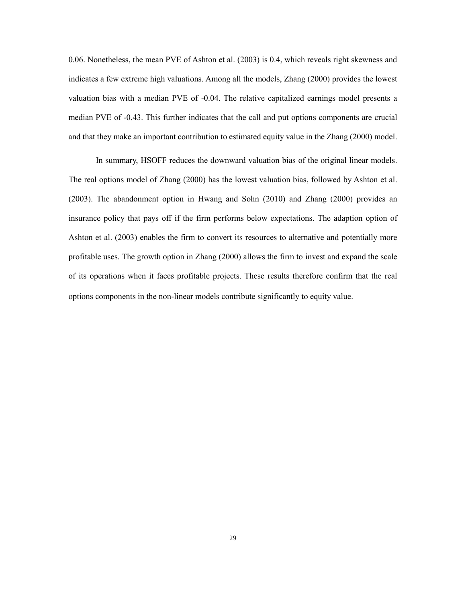0.06. Nonetheless, the mean PVE of Ashton et al. (2003) is 0.4, which reveals right skewness and indicates a few extreme high valuations. Among all the models, Zhang (2000) provides the lowest valuation bias with a median PVE of -0.04. The relative capitalized earnings model presents a median PVE of -0.43. This further indicates that the call and put options components are crucial and that they make an important contribution to estimated equity value in the Zhang (2000) model.

In summary, HSOFF reduces the downward valuation bias of the original linear models. The real options model of Zhang (2000) has the lowest valuation bias, followed by Ashton et al. (2003). The abandonment option in Hwang and Sohn (2010) and Zhang (2000) provides an insurance policy that pays off if the firm performs below expectations. The adaption option of Ashton et al. (2003) enables the firm to convert its resources to alternative and potentially more profitable uses. The growth option in Zhang (2000) allows the firm to invest and expand the scale of its operations when it faces profitable projects. These results therefore confirm that the real options components in the non-linear models contribute significantly to equity value.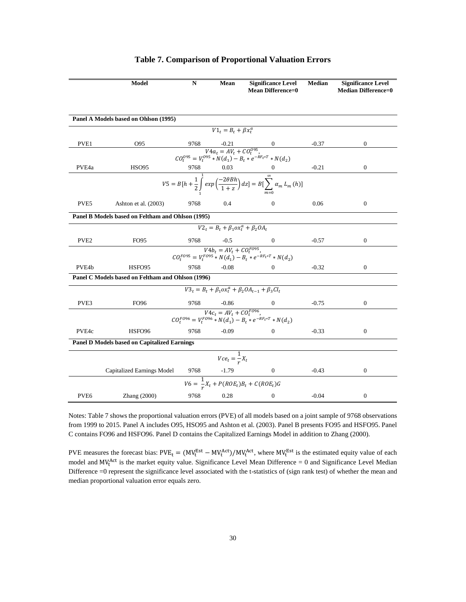|                  | Model                                               | N    | Mean                                                           | <b>Significance Level</b><br><b>Mean Difference=0</b>                                                                            | <b>Median</b> | <b>Significance Level</b><br><b>Median Difference=0</b> |
|------------------|-----------------------------------------------------|------|----------------------------------------------------------------|----------------------------------------------------------------------------------------------------------------------------------|---------------|---------------------------------------------------------|
|                  |                                                     |      |                                                                |                                                                                                                                  |               |                                                         |
|                  | Panel A Models based on Ohlson (1995)               |      |                                                                |                                                                                                                                  |               |                                                         |
|                  |                                                     |      | $V1_t = B_t + \beta x_t^a$                                     |                                                                                                                                  |               |                                                         |
|                  |                                                     |      |                                                                |                                                                                                                                  |               |                                                         |
| PVE1             | O95                                                 |      |                                                                |                                                                                                                                  | $-0.37$       | $\boldsymbol{0}$                                        |
|                  |                                                     |      |                                                                | 9768 -0.21 0<br>$V4a_t = AV_t + CO_t^{0.05}$ ,<br>$CO_t^{0.05} = V_t^{0.05} * N(d_1) - B_t * e^{-RF_t + T} * N(d_2)$             |               |                                                         |
| PVE4a            | <b>HSO95</b>                                        |      |                                                                |                                                                                                                                  | $-0.21$       | $\boldsymbol{0}$                                        |
|                  |                                                     |      |                                                                | 9768 0.03 0<br>$V5 = B[h + \frac{1}{2}]$ $exp\left(\frac{-2\theta Bh}{1+z}\right) dz$ $= B[\sum_{m=0}^{\infty} \alpha_m L_m(h)]$ |               |                                                         |
| PVE <sub>5</sub> | Ashton et al. (2003)                                | 9768 | 0.4                                                            | $\Omega$                                                                                                                         | 0.06          | $\mathbf{0}$                                            |
|                  | Panel B Models based on Feltham and Ohlson (1995)   |      |                                                                |                                                                                                                                  |               |                                                         |
|                  |                                                     |      | $V2_t = \overline{B_t + \beta_1 \omega x_t^a + \beta_2 O A_t}$ |                                                                                                                                  |               |                                                         |
| PVE <sub>2</sub> | FO <sub>95</sub>                                    |      |                                                                | 9768 -0.5 0<br>$V4b_t = AV_t + CO_t^{F095}$ ,                                                                                    | $-0.57$       | 0                                                       |
|                  |                                                     |      |                                                                | $COF095 = VF095 * N(d1) - Bt * e-RFt * T * N(d2)$                                                                                |               |                                                         |
| PVE4b            | HSFO95                                              | 9768 | $-0.08$                                                        | $\Omega$                                                                                                                         | $-0.32$       | $\mathbf{0}$                                            |
|                  | Panel C Models based on Feltham and Ohlson (1996)   |      |                                                                |                                                                                                                                  |               |                                                         |
|                  |                                                     |      |                                                                |                                                                                                                                  |               |                                                         |
|                  |                                                     |      |                                                                | $V3_t = B_t + \beta_1 \alpha x_t^a + \beta_2 O A_{t-1} + \beta_3 C I_t$                                                          |               |                                                         |
| PVE3             | FO <sub>96</sub>                                    | 9768 | $-0.86$                                                        | $\overline{0}$                                                                                                                   | $-0.75$       | $\mathbf{0}$                                            |
|                  |                                                     |      |                                                                | $\overline{CO_t^{F096}} = V_t^{F096} * N(d_1) - B_t * e^{-RF_t*T} * N(d_2)$                                                      |               |                                                         |
| PVE4c            | HSFO <sub>96</sub>                                  | 9768 | $-0.09$                                                        | $\mathbf{0}$                                                                                                                     | $-0.33$       | $\mathbf{0}$                                            |
|                  | <b>Panel D Models based on Capitalized Earnings</b> |      |                                                                |                                                                                                                                  |               |                                                         |
|                  |                                                     |      | $Vce_t = \frac{1}{r}X_t$                                       |                                                                                                                                  |               |                                                         |
|                  | Capitalized Earnings Model                          |      | $\frac{9768}{1}$ -1.79                                         | $\mathbf{0}$                                                                                                                     | $-0.43$       | $\boldsymbol{0}$                                        |
|                  |                                                     |      |                                                                | $V6 = \frac{1}{r}X_t + P(ROE_t)B_t + C(ROE_t)G$                                                                                  |               |                                                         |
| PVE <sub>6</sub> | $\text{Zhang}$ (2000)                               | 9768 | 0.28                                                           | $\mathbf{0}$                                                                                                                     | $-0.04$       | $\boldsymbol{0}$                                        |

# **Table 7. Comparison of Proportional Valuation Errors**

Notes: Table 7 shows the proportional valuation errors (PVE) of all models based on a joint sample of 9768 observations from 1999 to 2015. Panel A includes O95, HSO95 and Ashton et al. (2003). Panel B presents FO95 and HSFO95. Panel C contains FO96 and HSFO96. Panel D contains the Capitalized Earnings Model in addition to Zhang (2000).

PVE measures the forecast bias:  $PVE_t = (MV_t^{Est} - MV_t^{Act})/MV_t^{Act}$ , where  $MV_t^{Est}$  is the estimated equity value of each model and MV<sub>t</sub><sup>Act</sup> is the market equity value. Significance Level Mean Difference = 0 and Significance Level Median Difference =0 represent the significance level associated with the t-statistics of (sign rank test) of whether the mean and median proportional valuation error equals zero.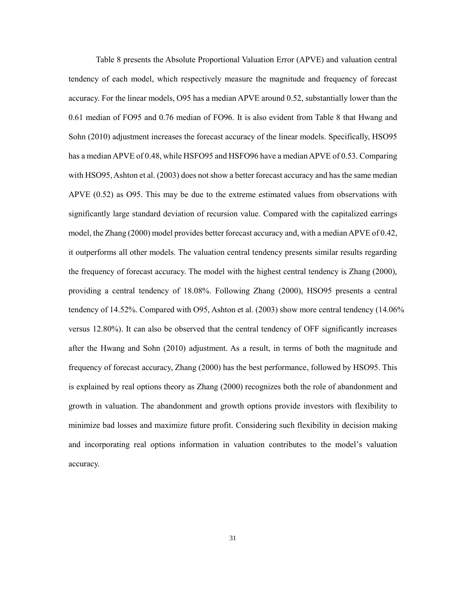Table 8 presents the Absolute Proportional Valuation Error (APVE) and valuation central tendency of each model, which respectively measure the magnitude and frequency of forecast accuracy. For the linear models, O95 has a median APVE around 0.52, substantially lower than the 0.61 median of FO95 and 0.76 median of FO96. It is also evident from Table 8 that Hwang and Sohn (2010) adjustment increases the forecast accuracy of the linear models. Specifically, HSO95 has a median APVE of 0.48, while HSFO95 and HSFO96 have a median APVE of 0.53. Comparing with HSO95, Ashton et al. (2003) does not show a better forecast accuracy and has the same median APVE (0.52) as O95. This may be due to the extreme estimated values from observations with significantly large standard deviation of recursion value. Compared with the capitalized earrings model, the Zhang (2000) model provides better forecast accuracy and, with a median APVE of 0.42, it outperforms all other models. The valuation central tendency presents similar results regarding the frequency of forecast accuracy. The model with the highest central tendency is Zhang (2000), providing a central tendency of 18.08%. Following Zhang (2000), HSO95 presents a central tendency of 14.52%. Compared with O95, Ashton et al. (2003) show more central tendency (14.06% versus 12.80%). It can also be observed that the central tendency of OFF significantly increases after the Hwang and Sohn (2010) adjustment. As a result, in terms of both the magnitude and frequency of forecast accuracy, Zhang (2000) has the best performance, followed by HSO95. This is explained by real options theory as Zhang (2000) recognizes both the role of abandonment and growth in valuation. The abandonment and growth options provide investors with flexibility to minimize bad losses and maximize future profit. Considering such flexibility in decision making and incorporating real options information in valuation contributes to the model's valuation accuracy.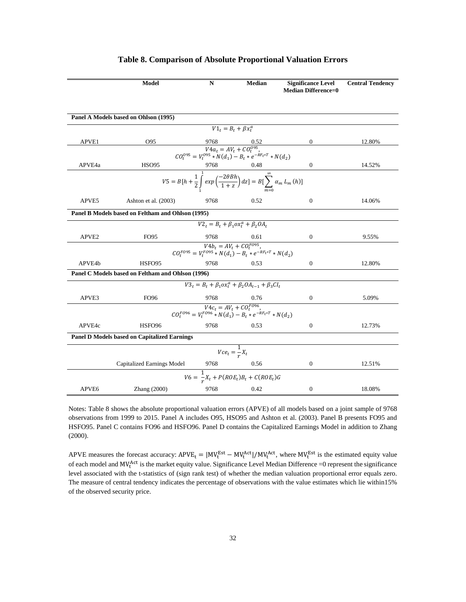|                   | Model                                               | N    | <b>Median</b>                                                                                                                                   | <b>Significance Level</b><br><b>Median Difference=0</b> | <b>Central Tendency</b> |
|-------------------|-----------------------------------------------------|------|-------------------------------------------------------------------------------------------------------------------------------------------------|---------------------------------------------------------|-------------------------|
|                   |                                                     |      |                                                                                                                                                 |                                                         |                         |
|                   | Panel A Models based on Ohlson (1995)               |      |                                                                                                                                                 |                                                         |                         |
|                   |                                                     |      | $V1_t = B_t + \beta x_t^a$                                                                                                                      |                                                         |                         |
| APVE1             | O95                                                 |      |                                                                                                                                                 | $\mathbf{0}$                                            | 12.80%                  |
|                   |                                                     |      | $\begin{array}{c} 9768 \qquad 0.52 \\ V4a_t = AV_t + CO_t^{095}, \\ CO_t^{095} = V_t^{095} * N(d_1) - B_t * e^{-RF_t * T} * N(d_2) \end{array}$ |                                                         |                         |
| APVE4a            | HSO95                                               |      |                                                                                                                                                 | $\mathbf{0}$                                            | 14.52%                  |
|                   |                                                     |      | 9768 0.48<br>$V5 = B[h + \frac{1}{2} \int_{1}^{1} exp\left(\frac{-2\theta Bh}{1+z}\right) dz] = B[\sum_{m=0}^{\infty} \alpha_m L_m(h)]$         |                                                         |                         |
|                   |                                                     |      |                                                                                                                                                 |                                                         |                         |
| APVE5             | Ashton et al. (2003)                                | 9768 | 0.52                                                                                                                                            | $\mathbf{0}$                                            | 14.06%                  |
|                   | Panel B Models based on Feltham and Ohlson (1995)   |      |                                                                                                                                                 |                                                         |                         |
|                   |                                                     |      | $V2_t = B_t + \beta_1 \omega x_t^a + \beta_2 O A_t$                                                                                             |                                                         |                         |
| APVE <sub>2</sub> | FO95                                                | 9768 | 0.61                                                                                                                                            | 0                                                       | 9.55%                   |
|                   |                                                     |      | $\overline{CO^{F095}_t = V^{F095}_t * N(d_1) - B_t * e^{-RF_t*T} * N(d_2)}$                                                                     |                                                         |                         |
| APVE4b            | HSFO95                                              | 9768 | 0.53                                                                                                                                            | $\boldsymbol{0}$                                        | 12.80%                  |
|                   | Panel C Models based on Feltham and Ohlson (1996)   |      |                                                                                                                                                 |                                                         |                         |
|                   |                                                     |      | $V3_t = B_t + \beta_1 \alpha x_t^a + \beta_2 O A_{t-1} + \beta_3 C I_t$                                                                         |                                                         |                         |
| APVE3             | FO96                                                | 9768 | 0.76                                                                                                                                            | $\mathbf{0}$                                            | 5.09%                   |
|                   |                                                     |      | $\begin{aligned} V4c_t &= AV_t + CO_t^{F096}, \\ CO_t^{F096} &= V_t^{F096} * N(d_1) - B_t * e^{-RF_t*T} * N(d_2) \end{aligned}$                 |                                                         |                         |
|                   |                                                     |      |                                                                                                                                                 |                                                         |                         |
| APVE4c            | HSFO <sub>96</sub>                                  | 9768 | 0.53                                                                                                                                            | $\mathbf{0}$                                            | 12.73%                  |
|                   | <b>Panel D Models based on Capitalized Earnings</b> |      |                                                                                                                                                 |                                                         |                         |
|                   |                                                     |      | $Vce_t = \frac{1}{r}X_t$                                                                                                                        |                                                         |                         |
|                   | <b>Capitalized Earnings Model</b>                   | 9768 | 0.56                                                                                                                                            | $\mathbf{0}$                                            | 12.51%                  |
|                   |                                                     |      | $V6 = \frac{1}{r}X_t + P(ROE_t)B_t + C(ROE_t)G$                                                                                                 |                                                         |                         |
| APVE <sub>6</sub> | Zhang $(2000)$                                      | 9768 | 0.42                                                                                                                                            | 0                                                       | 18.08%                  |

#### **Table 8. Comparison of Absolute Proportional Valuation Errors**

Notes: Table 8 shows the absolute proportional valuation errors (APVE) of all models based on a joint sample of 9768 observations from 1999 to 2015. Panel A includes O95, HSO95 and Ashton et al. (2003). Panel B presents FO95 and HSFO95. Panel C contains FO96 and HSFO96. Panel D contains the Capitalized Earnings Model in addition to Zhang (2000).

APVE measures the forecast accuracy:  $APVE_t = |MV_t^{Est} - MV_t^{Act}|/MV_t^{Act}$ , where  $MV_t^{Est}$  is the estimated equity value of each model and  $MV_t^{Act}$  is the market equity value. Significance Level Median Difference =0 represent the significance level associated with the t-statistics of (sign rank test) of whether the median valuation proportional error equals zero. The measure of central tendency indicates the percentage of observations with the value estimates which lie within15% of the observed security price.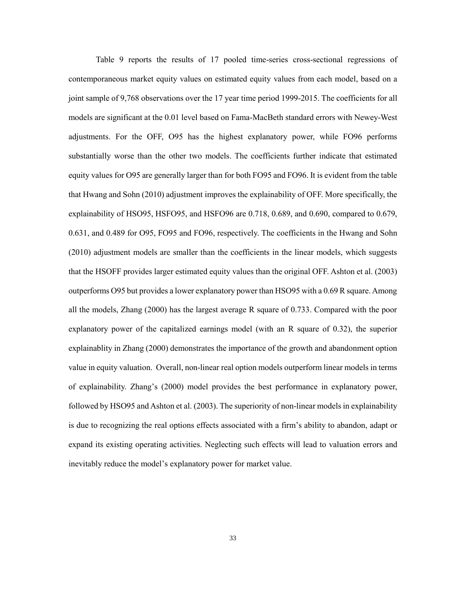Table 9 reports the results of 17 pooled time-series cross-sectional regressions of contemporaneous market equity values on estimated equity values from each model, based on a joint sample of 9,768 observations over the 17 year time period 1999-2015. The coefficients for all models are significant at the 0.01 level based on Fama-MacBeth standard errors with Newey-West adjustments. For the OFF, O95 has the highest explanatory power, while FO96 performs substantially worse than the other two models. The coefficients further indicate that estimated equity values for O95 are generally larger than for both FO95 and FO96. It is evident from the table that Hwang and Sohn (2010) adjustment improves the explainability of OFF. More specifically, the explainability of HSO95, HSFO95, and HSFO96 are 0.718, 0.689, and 0.690, compared to 0.679, 0.631, and 0.489 for O95, FO95 and FO96, respectively. The coefficients in the Hwang and Sohn (2010) adjustment models are smaller than the coefficients in the linear models, which suggests that the HSOFF provides larger estimated equity values than the original OFF. Ashton et al. (2003) outperforms O95 but provides a lower explanatory power than HSO95 with a 0.69 R square. Among all the models, Zhang (2000) has the largest average R square of 0.733. Compared with the poor explanatory power of the capitalized earnings model (with an R square of 0.32), the superior explainablity in Zhang (2000) demonstrates the importance of the growth and abandonment option value in equity valuation. Overall, non-linear real option models outperform linear models in terms of explainability. Zhang's (2000) model provides the best performance in explanatory power, followed by HSO95 and Ashton et al. (2003). The superiority of non-linear models in explainability is due to recognizing the real options effects associated with a firm's ability to abandon, adapt or expand its existing operating activities. Neglecting such effects will lead to valuation errors and inevitably reduce the model's explanatory power for market value.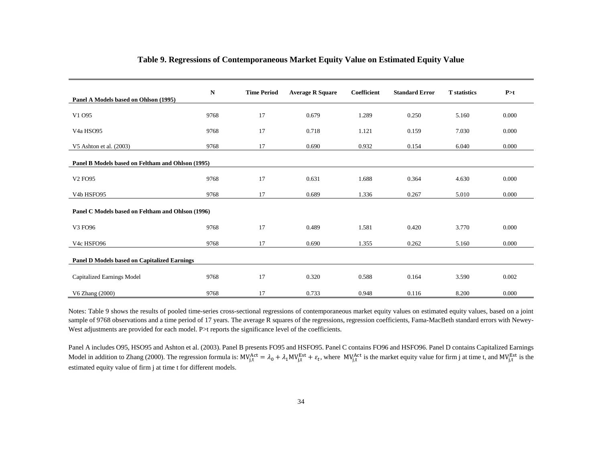|                                                     | N    | <b>Time Period</b> | <b>Average R Square</b> | Coefficient | <b>Standard Error</b> | <b>T</b> statistics | P > t |
|-----------------------------------------------------|------|--------------------|-------------------------|-------------|-----------------------|---------------------|-------|
| Panel A Models based on Ohlson (1995)               |      |                    |                         |             |                       |                     |       |
| V1 095                                              | 9768 | 17                 | 0.679                   | 1.289       | 0.250                 | 5.160               | 0.000 |
| V <sub>4</sub> a H <sub>SO95</sub>                  | 9768 | 17                 | 0.718                   | 1.121       | 0.159                 | 7.030               | 0.000 |
| V5 Ashton et al. (2003)                             | 9768 | 17                 | 0.690                   | 0.932       | 0.154                 | 6.040               | 0.000 |
| Panel B Models based on Feltham and Ohlson (1995)   |      |                    |                         |             |                       |                     |       |
|                                                     |      |                    |                         |             |                       |                     |       |
| V <sub>2</sub> FO <sub>95</sub>                     | 9768 | 17                 | 0.631                   | 1.688       | 0.364                 | 4.630               | 0.000 |
| V <sub>4</sub> b HSFO <sub>95</sub>                 | 9768 | 17                 | 0.689                   | 1.336       | 0.267                 | 5.010               | 0.000 |
| Panel C Models based on Feltham and Ohlson (1996)   |      |                    |                         |             |                       |                     |       |
| V3 FO96                                             | 9768 | 17                 | 0.489                   | 1.581       | 0.420                 | 3.770               | 0.000 |
| V4c HSFO96                                          | 9768 | 17                 | 0.690                   | 1.355       | 0.262                 | 5.160               | 0.000 |
| <b>Panel D Models based on Capitalized Earnings</b> |      |                    |                         |             |                       |                     |       |
|                                                     |      |                    |                         |             |                       |                     |       |
| Capitalized Earnings Model                          | 9768 | 17                 | 0.320                   | 0.588       | 0.164                 | 3.590               | 0.002 |
| V6 Zhang (2000)                                     | 9768 | 17                 | 0.733                   | 0.948       | 0.116                 | 8.200               | 0.000 |

# **Table 9. Regressions of Contemporaneous Market Equity Value on Estimated Equity Value**

Notes: Table 9 shows the results of pooled time-series cross-sectional regressions of contemporaneous market equity values on estimated equity values, based on a joint sample of 9768 observations and a time period of 17 years. The average R squares of the regressions, regression coefficients, Fama-MacBeth standard errors with Newey-West adjustments are provided for each model. P>t reports the significance level of the coefficients.

Panel A includes O95, HSO95 and Ashton et al. (2003). Panel B presents FO95 and HSFO95. Panel C contains FO96 and HSFO96. Panel D contains Capitalized Earnings Model in addition to Zhang (2000). The regression formula is:  $MV_{j,t}^{Act} = \lambda_0 + \lambda_1 MV_{j,t}^{Est} + \varepsilon_t$ , where  $MV_{j,t}^{Act}$  is the market equity value for firm j at time t, and  $MV_{j,t}^{Est}$  is the estimated equity value of firm j at time t for different models.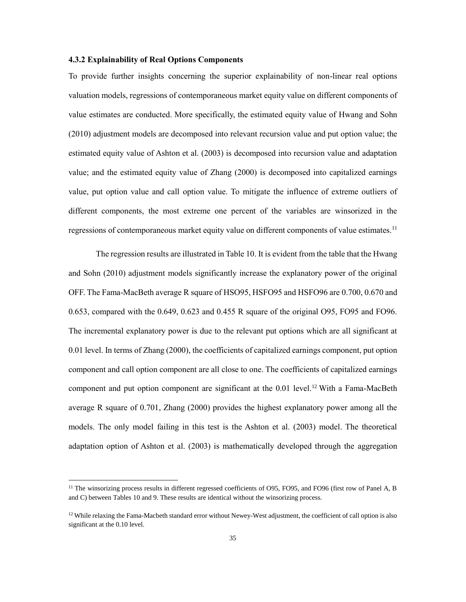# **4.3.2 Explainability of Real Options Components**

To provide further insights concerning the superior explainability of non-linear real options valuation models, regressions of contemporaneous market equity value on different components of value estimates are conducted. More specifically, the estimated equity value of Hwang and Sohn (2010) adjustment models are decomposed into relevant recursion value and put option value; the estimated equity value of Ashton et al. (2003) is decomposed into recursion value and adaptation value; and the estimated equity value of Zhang (2000) is decomposed into capitalized earnings value, put option value and call option value. To mitigate the influence of extreme outliers of different components, the most extreme one percent of the variables are winsorized in the regressions of contemporaneous market equity value on different components of value estimates.<sup>11</sup>

The regression results are illustrated in Table 10. It is evident from the table that the Hwang and Sohn (2010) adjustment models significantly increase the explanatory power of the original OFF. The Fama-MacBeth average R square of HSO95, HSFO95 and HSFO96 are 0.700, 0.670 and 0.653, compared with the 0.649, 0.623 and 0.455 R square of the original O95, FO95 and FO96. The incremental explanatory power is due to the relevant put options which are all significant at 0.01 level. In terms of Zhang (2000), the coefficients of capitalized earnings component, put option component and call option component are all close to one. The coefficients of capitalized earnings component and put option component are significant at the  $0.01$  level.<sup>12</sup> With a Fama-MacBeth average R square of 0.701, Zhang (2000) provides the highest explanatory power among all the models. The only model failing in this test is the Ashton et al. (2003) model. The theoretical adaptation option of Ashton et al. (2003) is mathematically developed through the aggregation

 $\overline{\phantom{a}}$ 

<sup>&</sup>lt;sup>11</sup> The winsorizing process results in different regressed coefficients of O95, FO95, and FO96 (first row of Panel A, B and C) between Tables 10 and 9. These results are identical without the winsorizing process.

 $12$  While relaxing the Fama-Macbeth standard error without Newey-West adjustment, the coefficient of call option is also significant at the 0.10 level.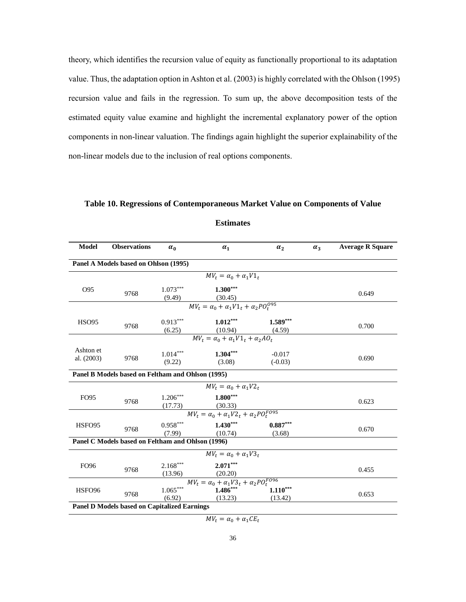theory, which identifies the recursion value of equity as functionally proportional to its adaptation value. Thus, the adaptation option in Ashton et al. (2003) is highly correlated with the Ohlson (1995) recursion value and fails in the regression. To sum up, the above decomposition tests of the estimated equity value examine and highlight the incremental explanatory power of the option components in non-linear valuation. The findings again highlight the superior explainability of the non-linear models due to the inclusion of real options components.

# **Table 10. Regressions of Contemporaneous Market Value on Components of Value**

| <b>Model</b>            | <b>Observations</b>                                 | $\alpha_0$            | $\alpha_1$                                                                                     | $\alpha_2$            | $\alpha_3$ | <b>Average R Square</b> |
|-------------------------|-----------------------------------------------------|-----------------------|------------------------------------------------------------------------------------------------|-----------------------|------------|-------------------------|
|                         | Panel A Models based on Ohlson (1995)               |                       |                                                                                                |                       |            |                         |
|                         |                                                     |                       | $MV_t = \alpha_0 + \alpha_1 V1_t$                                                              |                       |            |                         |
| O95                     | 9768                                                | $1.073***$            | $1.300***$<br>(9.49) $\frac{(30.45)}{MV_t = \alpha_0 + \alpha_1 V 1_t + \alpha_2 PO_t^{0.05}}$ |                       |            | 0.649                   |
|                         |                                                     |                       |                                                                                                |                       |            |                         |
| <b>HSO95</b>            | 9768                                                | $0.913***$            | $1.012***$<br>(6.25) $(10.94)$ $(4.59)$<br>$MV_t = \alpha_0 + \alpha_1 V 1_t + \alpha_2 A O_t$ | $1.589***$            |            | 0.700                   |
|                         |                                                     |                       |                                                                                                |                       |            |                         |
| Ashton et<br>al. (2003) | 9768                                                | $1.014***$<br>(9.22)  | $1.304***$<br>(3.08)                                                                           | $-0.017$<br>$(-0.03)$ |            | 0.690                   |
|                         | Panel B Models based on Feltham and Ohlson (1995)   |                       |                                                                                                |                       |            |                         |
|                         |                                                     |                       | $MV_t = \alpha_0 + \alpha_1 V2_t$                                                              |                       |            |                         |
| <b>FO95</b>             | 9768                                                | $1.206***$            | $1.800***$<br>$\frac{(17.73)}{MV_t = \alpha_0 + \alpha_1 V2_t + \alpha_2 PO_t^{FO95}}$         |                       |            | 0.623                   |
|                         |                                                     |                       |                                                                                                |                       |            |                         |
| HSFO95                  | 9768                                                | $0.958***$<br>(7.99)  | $1.430***$<br>(10.74)                                                                          | $0.887***$<br>(3.68)  |            | 0.670                   |
|                         | Panel C Models based on Feltham and Ohlson (1996)   |                       |                                                                                                |                       |            |                         |
|                         |                                                     |                       | $MV_t = \alpha_0 + \alpha_1 V3_t$                                                              |                       |            |                         |
| <b>FO96</b>             | 9768                                                | $2.168***$<br>(13.96) | $2.071***$<br>(20.20)                                                                          |                       |            | 0.455                   |
|                         |                                                     | $1.065***$            | $\label{eq:1} MV_t = \alpha_0 + \overline{\alpha_1V3_t + \alpha_2PO_t^{F096}}$                 |                       |            |                         |
| HSFO <sub>96</sub>      | 9768                                                | (6.92)                | $1.486***$<br>(13.23)                                                                          | $1.110***$<br>(13.42) |            | 0.653                   |
|                         | <b>Panel D Models based on Capitalized Earnings</b> |                       |                                                                                                |                       |            |                         |

# **Estimates**

 $MV_t = \alpha_0 + \alpha_1 CE_t$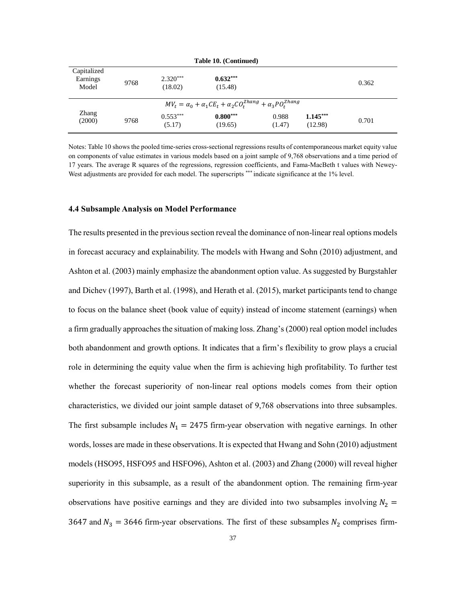|                                  | Table 10. (Continued) |                       |                                                                                   |                 |                       |       |  |  |  |  |  |  |  |
|----------------------------------|-----------------------|-----------------------|-----------------------------------------------------------------------------------|-----------------|-----------------------|-------|--|--|--|--|--|--|--|
| Capitalized<br>Earnings<br>Model | 9768                  | $2.320***$<br>(18.02) | $0.632***$<br>(15.48)                                                             |                 |                       | 0.362 |  |  |  |  |  |  |  |
|                                  |                       |                       | $MV_t = \alpha_0 + \alpha_1 CE_t + \alpha_2 CO_t^{Zhang} + \alpha_3 PO_t^{Zhang}$ |                 |                       |       |  |  |  |  |  |  |  |
| Zhang<br>(2000)                  | 9768                  | $0.553***$<br>(5.17)  | $0.800***$<br>(19.65)                                                             | 0.988<br>(1.47) | $1.145***$<br>(12.98) | 0.701 |  |  |  |  |  |  |  |

Notes: Table 10 shows the pooled time-series cross-sectional regressions results of contemporaneous market equity value on components of value estimates in various models based on a joint sample of 9,768 observations and a time period of 17 years. The average R squares of the regressions, regression coefficients, and Fama-MacBeth t values with Newey-West adjustments are provided for each model. The superscripts \*\*\* indicate significance at the 1% level.

## **4.4 Subsample Analysis on Model Performance**

The results presented in the previous section reveal the dominance of non-linear real options models in forecast accuracy and explainability. The models with Hwang and Sohn (2010) adjustment, and Ashton et al. (2003) mainly emphasize the abandonment option value. As suggested by Burgstahler and Dichev (1997), Barth et al. (1998), and Herath et al. (2015), market participants tend to change to focus on the balance sheet (book value of equity) instead of income statement (earnings) when a firm gradually approaches the situation of making loss. Zhang's (2000) real option model includes both abandonment and growth options. It indicates that a firm's flexibility to grow plays a crucial role in determining the equity value when the firm is achieving high profitability. To further test whether the forecast superiority of non-linear real options models comes from their option characteristics, we divided our joint sample dataset of 9,768 observations into three subsamples. The first subsample includes  $N_1 = 2475$  firm-year observation with negative earnings. In other words, losses are made in these observations. It is expected that Hwang and Sohn (2010) adjustment models (HSO95, HSFO95 and HSFO96), Ashton et al. (2003) and Zhang (2000) will reveal higher superiority in this subsample, as a result of the abandonment option. The remaining firm-year observations have positive earnings and they are divided into two subsamples involving  $N_2$  = 3647 and  $N_3 = 3646$  firm-year observations. The first of these subsamples  $N_2$  comprises firm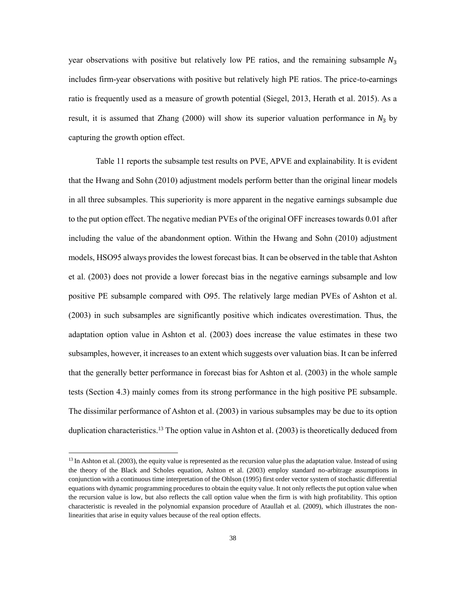year observations with positive but relatively low PE ratios, and the remaining subsample  $N_3$ includes firm-year observations with positive but relatively high PE ratios. The price-to-earnings ratio is frequently used as a measure of growth potential (Siegel, 2013, Herath et al. 2015). As a result, it is assumed that Zhang (2000) will show its superior valuation performance in  $N_3$  by capturing the growth option effect.

Table 11 reports the subsample test results on PVE, APVE and explainability. It is evident that the Hwang and Sohn (2010) adjustment models perform better than the original linear models in all three subsamples. This superiority is more apparent in the negative earnings subsample due to the put option effect. The negative median PVEs of the original OFF increases towards 0.01 after including the value of the abandonment option. Within the Hwang and Sohn (2010) adjustment models, HSO95 always provides the lowest forecast bias. It can be observed in the table that Ashton et al. (2003) does not provide a lower forecast bias in the negative earnings subsample and low positive PE subsample compared with O95. The relatively large median PVEs of Ashton et al. (2003) in such subsamples are significantly positive which indicates overestimation. Thus, the adaptation option value in Ashton et al. (2003) does increase the value estimates in these two subsamples, however, it increases to an extent which suggests over valuation bias. It can be inferred that the generally better performance in forecast bias for Ashton et al. (2003) in the whole sample tests (Section 4.3) mainly comes from its strong performance in the high positive PE subsample. The dissimilar performance of Ashton et al. (2003) in various subsamples may be due to its option duplication characteristics.<sup>13</sup> The option value in Ashton et al. (2003) is theoretically deduced from

 $\overline{\phantom{a}}$ 

<sup>&</sup>lt;sup>13</sup> In Ashton et al. (2003), the equity value is represented as the recursion value plus the adaptation value. Instead of using the theory of the Black and Scholes equation, Ashton et al. (2003) employ standard no-arbitrage assumptions in conjunction with a continuous time interpretation of the Ohlson (1995) first order vector system of stochastic differential equations with dynamic programming procedures to obtain the equity value. It not only reflects the put option value when the recursion value is low, but also reflects the call option value when the firm is with high profitability. This option characteristic is revealed in the polynomial expansion procedure of Ataullah et al. (2009), which illustrates the nonlinearities that arise in equity values because of the real option effects.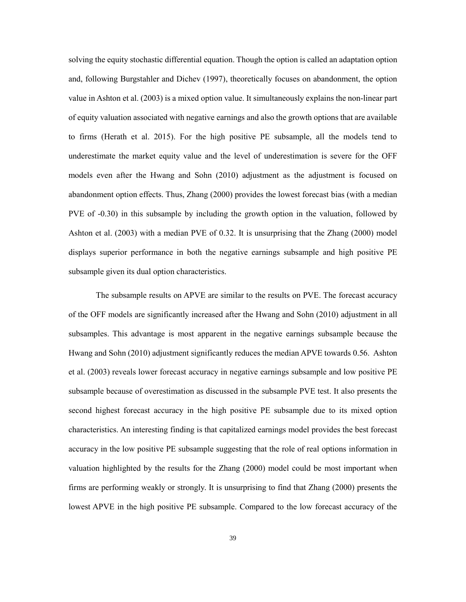solving the equity stochastic differential equation. Though the option is called an adaptation option and, following Burgstahler and Dichev (1997), theoretically focuses on abandonment, the option value in Ashton et al. (2003) is a mixed option value. It simultaneously explains the non-linear part of equity valuation associated with negative earnings and also the growth options that are available to firms (Herath et al. 2015). For the high positive PE subsample, all the models tend to underestimate the market equity value and the level of underestimation is severe for the OFF models even after the Hwang and Sohn (2010) adjustment as the adjustment is focused on abandonment option effects. Thus, Zhang (2000) provides the lowest forecast bias (with a median PVE of -0.30) in this subsample by including the growth option in the valuation, followed by Ashton et al. (2003) with a median PVE of 0.32. It is unsurprising that the Zhang (2000) model displays superior performance in both the negative earnings subsample and high positive PE subsample given its dual option characteristics.

The subsample results on APVE are similar to the results on PVE. The forecast accuracy of the OFF models are significantly increased after the Hwang and Sohn (2010) adjustment in all subsamples. This advantage is most apparent in the negative earnings subsample because the Hwang and Sohn (2010) adjustment significantly reduces the median APVE towards 0.56. Ashton et al. (2003) reveals lower forecast accuracy in negative earnings subsample and low positive PE subsample because of overestimation as discussed in the subsample PVE test. It also presents the second highest forecast accuracy in the high positive PE subsample due to its mixed option characteristics. An interesting finding is that capitalized earnings model provides the best forecast accuracy in the low positive PE subsample suggesting that the role of real options information in valuation highlighted by the results for the Zhang (2000) model could be most important when firms are performing weakly or strongly. It is unsurprising to find that Zhang (2000) presents the lowest APVE in the high positive PE subsample. Compared to the low forecast accuracy of the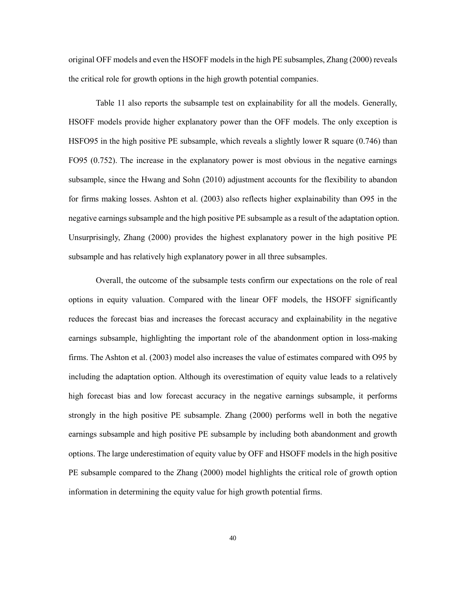original OFF models and even the HSOFF models in the high PE subsamples, Zhang (2000) reveals the critical role for growth options in the high growth potential companies.

Table 11 also reports the subsample test on explainability for all the models. Generally, HSOFF models provide higher explanatory power than the OFF models. The only exception is HSFO95 in the high positive PE subsample, which reveals a slightly lower R square (0.746) than FO95 (0.752). The increase in the explanatory power is most obvious in the negative earnings subsample, since the Hwang and Sohn (2010) adjustment accounts for the flexibility to abandon for firms making losses. Ashton et al. (2003) also reflects higher explainability than O95 in the negative earnings subsample and the high positive PE subsample as a result of the adaptation option. Unsurprisingly, Zhang (2000) provides the highest explanatory power in the high positive PE subsample and has relatively high explanatory power in all three subsamples.

Overall, the outcome of the subsample tests confirm our expectations on the role of real options in equity valuation. Compared with the linear OFF models, the HSOFF significantly reduces the forecast bias and increases the forecast accuracy and explainability in the negative earnings subsample, highlighting the important role of the abandonment option in loss-making firms. The Ashton et al. (2003) model also increases the value of estimates compared with O95 by including the adaptation option. Although its overestimation of equity value leads to a relatively high forecast bias and low forecast accuracy in the negative earnings subsample, it performs strongly in the high positive PE subsample. Zhang (2000) performs well in both the negative earnings subsample and high positive PE subsample by including both abandonment and growth options. The large underestimation of equity value by OFF and HSOFF models in the high positive PE subsample compared to the Zhang (2000) model highlights the critical role of growth option information in determining the equity value for high growth potential firms.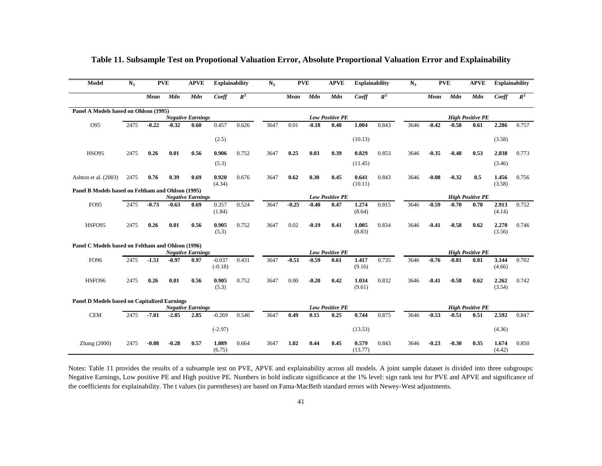| Model                                               | $N_1$ | <b>PVE</b> |         | <b>APVE</b>              | <b>Explainability</b> |       | N <sub>2</sub> | <b>PVE</b> |         | <b>APVE</b>            | <b>Explainability</b> |       | $N_3$ | <b>PVE</b> |            | <b>APVE</b>             |                 | <b>Explainability</b> |
|-----------------------------------------------------|-------|------------|---------|--------------------------|-----------------------|-------|----------------|------------|---------|------------------------|-----------------------|-------|-------|------------|------------|-------------------------|-----------------|-----------------------|
|                                                     |       | Mean       | Mdn     | Mdn                      | Coeff                 | $R^2$ |                | Mean       | Mdn     | Mdn                    | Coeff                 | $R^2$ |       | Mean       | <b>Mdn</b> | Mdn                     | Coeff           | $R^2$                 |
| Panel A Models based on Ohlson (1995)               |       |            |         |                          |                       |       |                |            |         |                        |                       |       |       |            |            |                         |                 |                       |
|                                                     |       |            |         | <b>Negative Earnings</b> |                       |       |                |            |         | <b>Low Positive PE</b> |                       |       |       |            |            | <b>High Positive PE</b> |                 |                       |
| O95                                                 | 2475  | $-0.22$    | $-0.32$ | 0.60                     | 0.457                 | 0.626 | 3647           | 0.01       | $-0.18$ | 0.40                   | 1.004                 | 0.843 | 3646  | $-0.42$    | $-0.58$    | 0.61                    | 2.286           | 0.757                 |
|                                                     |       |            |         |                          | (2.5)                 |       |                |            |         |                        | (10.13)               |       |       |            |            |                         | (3.58)          |                       |
| <b>HSO95</b>                                        | 2475  | 0.26       | 0.01    | 0.56                     | 0.906                 | 0.752 | 3647           | 0.25       | 0.03    | 0.39                   | 0.829                 | 0.853 | 3646  | $-0.35$    | $-0.48$    | 0.53                    | 2.038           | 0.773                 |
|                                                     |       |            |         |                          | (5.3)                 |       |                |            |         |                        | (11.45)               |       |       |            |            |                         | (3.46)          |                       |
| Ashton et al. (2003)                                | 2475  | 0.76       | 0.39    | 0.69                     | 0.920<br>(4.34)       | 0.676 | 3647           | 0.62       | 0.30    | 0.45                   | 0.641<br>(10.11)      | 0.843 | 3646  | $-0.08$    | $-0.32$    | 0.5                     | 1.456<br>(3.58) | 0.756                 |
| Panel B Models based on Feltham and Ohlson (1995)   |       |            |         |                          |                       |       |                |            |         |                        |                       |       |       |            |            |                         |                 |                       |
|                                                     |       |            |         | <b>Negative Earnings</b> |                       |       |                |            |         | <b>Low Positive PE</b> |                       |       |       |            |            | <b>High Positive PE</b> |                 |                       |
| <b>FO95</b>                                         | 2475  | $-0.73$    | $-0.63$ | 0.69                     | 0.357<br>(1.84)       | 0.524 | 3647           | $-0.25$    | $-0.40$ | 0.47                   | 1.274<br>(8.64)       | 0.815 | 3646  | $-0.59$    | $-0.70$    | 0.70                    | 2.913<br>(4.14) | 0.752                 |
| HSFO95                                              | 2475  | 0.26       | 0.01    | 0.56                     | 0.905<br>(5.3)        | 0.752 | 3647           | 0.02       | $-0.19$ | 0.41                   | 1.005<br>(8.83)       | 0.834 | 3646  | $-0.41$    | $-0.58$    | 0.62                    | 2.270<br>(3.56) | 0.746                 |
| Panel C Models based on Feltham and Ohlson (1996)   |       |            |         |                          |                       |       |                |            |         |                        |                       |       |       |            |            |                         |                 |                       |
|                                                     |       |            |         | <b>Negative Earnings</b> |                       |       |                |            |         | <b>Low Positive PE</b> |                       |       |       |            |            | <b>High Positive PE</b> |                 |                       |
| FO96                                                | 2475  | $-1.51$    | $-0.97$ | 0.97                     | $-0.037$<br>$(-0.18)$ | 0.431 | 3647           | $-0.51$    | $-0.59$ | 0.61                   | 1.417<br>(9.16)       | 0.735 | 3646  | $-0.76$    | $-0.81$    | 0.81                    | 3.144<br>(4.66) | 0.702                 |
| HSFO96                                              | 2475  | 0.26       | 0.01    | 0.56                     | 0.905<br>(5.3)        | 0.752 | 3647           | 0.00       | $-0.20$ | 0.42                   | 1.034<br>(9.61)       | 0.832 | 3646  | $-0.41$    | $-0.58$    | 0.62                    | 2.262<br>(3.54) | 0.742                 |
| <b>Panel D Models based on Capitalized Earnings</b> |       |            |         |                          |                       |       |                |            |         |                        |                       |       |       |            |            |                         |                 |                       |
|                                                     |       |            |         | <b>Negative Earnings</b> |                       |       |                |            |         | <b>Low Positive PE</b> |                       |       |       |            |            | <b>High Positive PE</b> |                 |                       |
| <b>CEM</b>                                          | 2475  | $-7.01$    | $-2.85$ | 2.85                     | $-0.269$              | 0.540 | 3647           | 0.49       | 0.15    | 0.25                   | 0.744                 | 0.875 | 3646  | $-0.53$    | $-0.51$    | 0.51                    | 2.592           | 0.847                 |
|                                                     |       |            |         |                          | $(-2.97)$             |       |                |            |         |                        | (13.53)               |       |       |            |            |                         | (4.36)          |                       |
| Zhang (2000)                                        | 2475  | $-0.08$    | $-0.28$ | 0.57                     | 1.089<br>(6.75)       | 0.664 | 3647           | 1.02       | 0.44    | 0.45                   | 0.579<br>(13.77)      | 0.843 | 3646  | $-0.23$    | $-0.30$    | 0.35                    | 1.674<br>(4.42) | 0.850                 |

# **Table 11. Subsample Test on Propotional Valuation Error, Absolute Proportional Valuation Error and Explainability**

Notes: Table 11 provides the results of a subsample test on PVE, APVE and explainability across all models. A joint sample dataset is divided into three subgroups: Negative Earnings, Low positive PE and High positive PE. Numbers in bold indicate significance at the 1% level: sign rank test for PVE and APVE and significance of the coefficients for explainability. The t values (in parentheses) are based on Fama-MacBeth standard errors with Newey-West adjustments.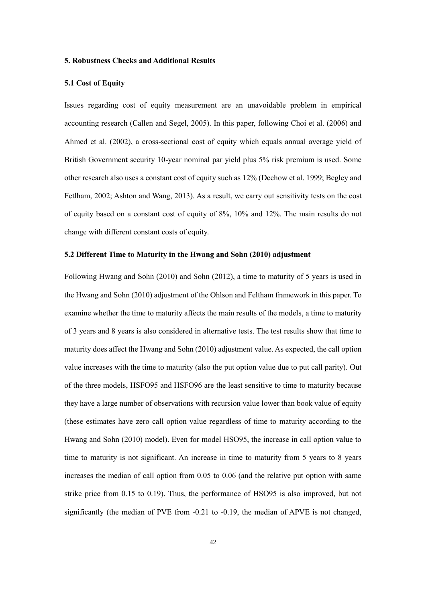# **5. Robustness Checks and Additional Results**

# **5.1 Cost of Equity**

Issues regarding cost of equity measurement are an unavoidable problem in empirical accounting research (Callen and Segel, 2005). In this paper, following Choi et al. (2006) and Ahmed et al. (2002), a cross-sectional cost of equity which equals annual average yield of British Government security 10-year nominal par yield plus 5% risk premium is used. Some other research also uses a constant cost of equity such as 12% (Dechow et al. 1999; Begley and Fetlham, 2002; Ashton and Wang, 2013). As a result, we carry out sensitivity tests on the cost of equity based on a constant cost of equity of 8%, 10% and 12%. The main results do not change with different constant costs of equity.

## **5.2 Different Time to Maturity in the Hwang and Sohn (2010) adjustment**

Following Hwang and Sohn (2010) and Sohn (2012), a time to maturity of 5 years is used in the Hwang and Sohn (2010) adjustment of the Ohlson and Feltham framework in this paper. To examine whether the time to maturity affects the main results of the models, a time to maturity of 3 years and 8 years is also considered in alternative tests. The test results show that time to maturity does affect the Hwang and Sohn (2010) adjustment value. As expected, the call option value increases with the time to maturity (also the put option value due to put call parity). Out of the three models, HSFO95 and HSFO96 are the least sensitive to time to maturity because they have a large number of observations with recursion value lower than book value of equity (these estimates have zero call option value regardless of time to maturity according to the Hwang and Sohn (2010) model). Even for model HSO95, the increase in call option value to time to maturity is not significant. An increase in time to maturity from 5 years to 8 years increases the median of call option from 0.05 to 0.06 (and the relative put option with same strike price from 0.15 to 0.19). Thus, the performance of HSO95 is also improved, but not significantly (the median of PVE from -0.21 to -0.19, the median of APVE is not changed,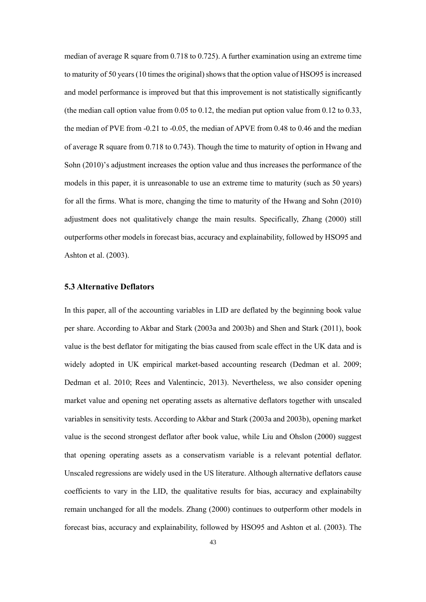median of average R square from 0.718 to 0.725). A further examination using an extreme time to maturity of 50 years (10 times the original) showsthat the option value of HSO95 is increased and model performance is improved but that this improvement is not statistically significantly (the median call option value from 0.05 to 0.12, the median put option value from 0.12 to 0.33, the median of PVE from -0.21 to -0.05, the median of APVE from 0.48 to 0.46 and the median of average R square from 0.718 to 0.743). Though the time to maturity of option in Hwang and Sohn (2010)'s adjustment increases the option value and thus increases the performance of the models in this paper, it is unreasonable to use an extreme time to maturity (such as 50 years) for all the firms. What is more, changing the time to maturity of the Hwang and Sohn (2010) adjustment does not qualitatively change the main results. Specifically, Zhang (2000) still outperforms other models in forecast bias, accuracy and explainability, followed by HSO95 and Ashton et al. (2003).

# **5.3 Alternative Deflators**

In this paper, all of the accounting variables in LID are deflated by the beginning book value per share. According to Akbar and Stark (2003a and 2003b) and Shen and Stark (2011), book value is the best deflator for mitigating the bias caused from scale effect in the UK data and is widely adopted in UK empirical market-based accounting research (Dedman et al. 2009; Dedman et al. 2010; Rees and Valentincic, 2013). Nevertheless, we also consider opening market value and opening net operating assets as alternative deflators together with unscaled variables in sensitivity tests. According to Akbar and Stark (2003a and 2003b), opening market value is the second strongest deflator after book value, while Liu and Ohslon (2000) suggest that opening operating assets as a conservatism variable is a relevant potential deflator. Unscaled regressions are widely used in the US literature. Although alternative deflators cause coefficients to vary in the LID, the qualitative results for bias, accuracy and explainabilty remain unchanged for all the models. Zhang (2000) continues to outperform other models in forecast bias, accuracy and explainability, followed by HSO95 and Ashton et al. (2003). The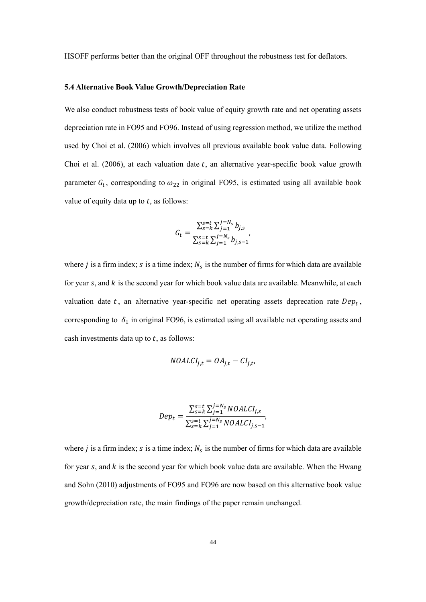HSOFF performs better than the original OFF throughout the robustness test for deflators.

#### **5.4 Alternative Book Value Growth/Depreciation Rate**

We also conduct robustness tests of book value of equity growth rate and net operating assets depreciation rate in FO95 and FO96. Instead of using regression method, we utilize the method used by Choi et al. (2006) which involves all previous available book value data. Following Choi et al. (2006), at each valuation date  $t$ , an alternative year-specific book value growth parameter  $G_t$ , corresponding to  $\omega_{22}$  in original FO95, is estimated using all available book value of equity data up to  $t$ , as follows:

$$
G_t = \frac{\sum_{s=k}^{s=t} \sum_{j=1}^{j=N_s} b_{j,s}}{\sum_{s=k}^{s=t} \sum_{j=1}^{j=N_s} b_{j,s-1}},
$$

where *j* is a firm index; *s* is a time index;  $N_s$  is the number of firms for which data are available for year  $s$ , and  $k$  is the second year for which book value data are available. Meanwhile, at each valuation date  $t$ , an alternative year-specific net operating assets deprecation rate  $Dep<sub>t</sub>$ , corresponding to  $\delta_1$  in original FO96, is estimated using all available net operating assets and cash investments data up to  $t$ , as follows:

$$
NOALCI_{j,t} = OA_{j,t} - CI_{j,t},
$$

$$
Dep_t = \frac{\sum_{s=k}^{s=t} \sum_{j=1}^{j=N_s} NOALCI_{j,s}}{\sum_{s=k}^{s=t} \sum_{j=1}^{j=N_s} NOALCI_{j,s-1}},
$$

where *j* is a firm index; *s* is a time index;  $N_s$  is the number of firms for which data are available for year  $s$ , and  $k$  is the second year for which book value data are available. When the Hwang and Sohn (2010) adjustments of FO95 and FO96 are now based on this alternative book value growth/depreciation rate, the main findings of the paper remain unchanged.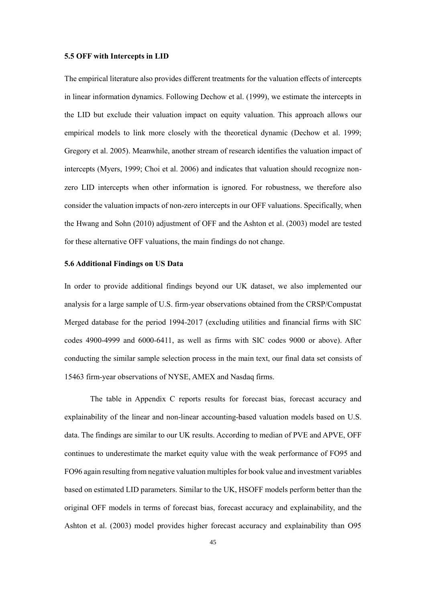#### **5.5 OFF with Intercepts in LID**

The empirical literature also provides different treatments for the valuation effects of intercepts in linear information dynamics. Following Dechow et al. (1999), we estimate the intercepts in the LID but exclude their valuation impact on equity valuation. This approach allows our empirical models to link more closely with the theoretical dynamic (Dechow et al. 1999; Gregory et al. 2005). Meanwhile, another stream of research identifies the valuation impact of intercepts (Myers, 1999; Choi et al. 2006) and indicates that valuation should recognize nonzero LID intercepts when other information is ignored. For robustness, we therefore also consider the valuation impacts of non-zero intercepts in our OFF valuations. Specifically, when the Hwang and Sohn (2010) adjustment of OFF and the Ashton et al. (2003) model are tested for these alternative OFF valuations, the main findings do not change.

# **5.6 Additional Findings on US Data**

In order to provide additional findings beyond our UK dataset, we also implemented our analysis for a large sample of U.S. firm-year observations obtained from the CRSP/Compustat Merged database for the period 1994-2017 (excluding utilities and financial firms with SIC codes 4900-4999 and 6000-6411, as well as firms with SIC codes 9000 or above). After conducting the similar sample selection process in the main text, our final data set consists of 15463 firm-year observations of NYSE, AMEX and Nasdaq firms.

The table in Appendix C reports results for forecast bias, forecast accuracy and explainability of the linear and non-linear accounting-based valuation models based on U.S. data. The findings are similar to our UK results. According to median of PVE and APVE, OFF continues to underestimate the market equity value with the weak performance of FO95 and FO96 again resulting from negative valuation multiples for book value and investment variables based on estimated LID parameters. Similar to the UK, HSOFF models perform better than the original OFF models in terms of forecast bias, forecast accuracy and explainability, and the Ashton et al. (2003) model provides higher forecast accuracy and explainability than O95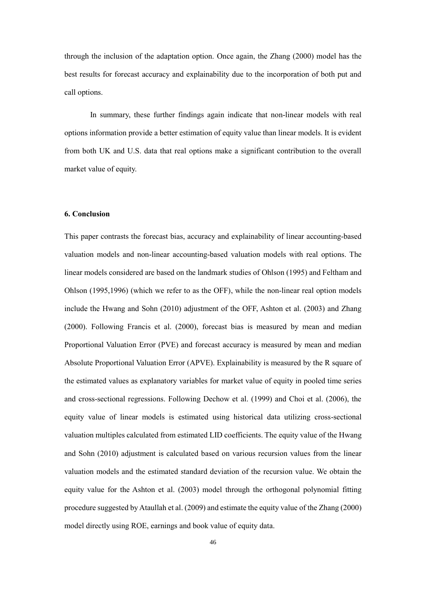through the inclusion of the adaptation option. Once again, the Zhang (2000) model has the best results for forecast accuracy and explainability due to the incorporation of both put and call options.

In summary, these further findings again indicate that non-linear models with real options information provide a better estimation of equity value than linear models. It is evident from both UK and U.S. data that real options make a significant contribution to the overall market value of equity.

## **6. Conclusion**

This paper contrasts the forecast bias, accuracy and explainability of linear accounting-based valuation models and non-linear accounting-based valuation models with real options. The linear models considered are based on the landmark studies of Ohlson (1995) and Feltham and Ohlson (1995,1996) (which we refer to as the OFF), while the non-linear real option models include the Hwang and Sohn (2010) adjustment of the OFF, Ashton et al. (2003) and Zhang (2000). Following Francis et al. (2000), forecast bias is measured by mean and median Proportional Valuation Error (PVE) and forecast accuracy is measured by mean and median Absolute Proportional Valuation Error (APVE). Explainability is measured by the R square of the estimated values as explanatory variables for market value of equity in pooled time series and cross-sectional regressions. Following Dechow et al. (1999) and Choi et al. (2006), the equity value of linear models is estimated using historical data utilizing cross-sectional valuation multiples calculated from estimated LID coefficients. The equity value of the Hwang and Sohn (2010) adjustment is calculated based on various recursion values from the linear valuation models and the estimated standard deviation of the recursion value. We obtain the equity value for the Ashton et al. (2003) model through the orthogonal polynomial fitting procedure suggested by Ataullah et al. (2009) and estimate the equity value of the Zhang (2000) model directly using ROE, earnings and book value of equity data.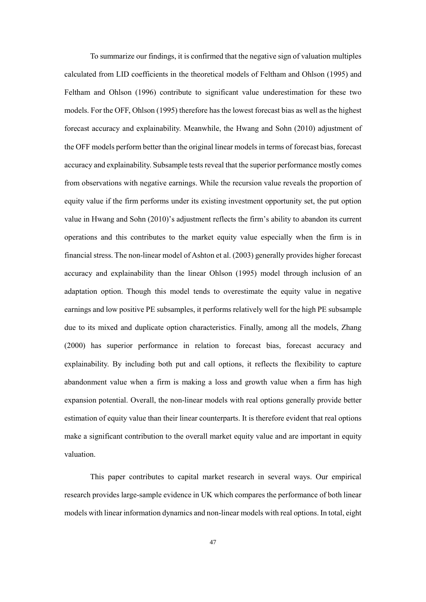To summarize our findings, it is confirmed that the negative sign of valuation multiples calculated from LID coefficients in the theoretical models of Feltham and Ohlson (1995) and Feltham and Ohlson (1996) contribute to significant value underestimation for these two models. For the OFF, Ohlson (1995) therefore has the lowest forecast bias as well as the highest forecast accuracy and explainability. Meanwhile, the Hwang and Sohn (2010) adjustment of the OFF models perform better than the original linear models in terms of forecast bias, forecast accuracy and explainability. Subsample tests reveal that the superior performance mostly comes from observations with negative earnings. While the recursion value reveals the proportion of equity value if the firm performs under its existing investment opportunity set, the put option value in Hwang and Sohn (2010)'s adjustment reflects the firm's ability to abandon its current operations and this contributes to the market equity value especially when the firm is in financial stress. The non-linear model of Ashton et al. (2003) generally provides higher forecast accuracy and explainability than the linear Ohlson (1995) model through inclusion of an adaptation option. Though this model tends to overestimate the equity value in negative earnings and low positive PE subsamples, it performs relatively well for the high PE subsample due to its mixed and duplicate option characteristics. Finally, among all the models, Zhang (2000) has superior performance in relation to forecast bias, forecast accuracy and explainability. By including both put and call options, it reflects the flexibility to capture abandonment value when a firm is making a loss and growth value when a firm has high expansion potential. Overall, the non-linear models with real options generally provide better estimation of equity value than their linear counterparts. It is therefore evident that real options make a significant contribution to the overall market equity value and are important in equity valuation.

This paper contributes to capital market research in several ways. Our empirical research provides large-sample evidence in UK which compares the performance of both linear models with linear information dynamics and non-linear models with real options. In total, eight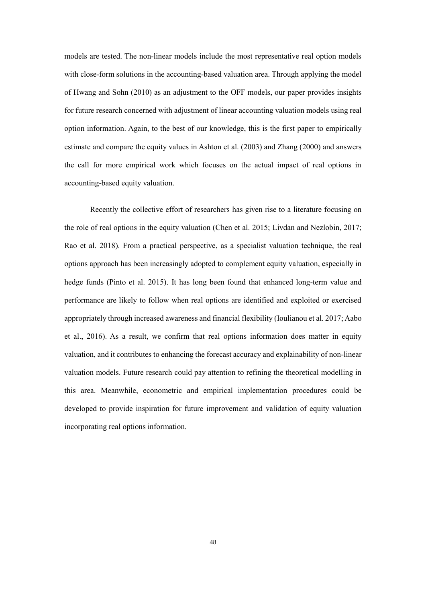models are tested. The non-linear models include the most representative real option models with close-form solutions in the accounting-based valuation area. Through applying the model of Hwang and Sohn (2010) as an adjustment to the OFF models, our paper provides insights for future research concerned with adjustment of linear accounting valuation models using real option information. Again, to the best of our knowledge, this is the first paper to empirically estimate and compare the equity values in Ashton et al. (2003) and Zhang (2000) and answers the call for more empirical work which focuses on the actual impact of real options in accounting-based equity valuation.

Recently the collective effort of researchers has given rise to a literature focusing on the role of real options in the equity valuation (Chen et al. 2015; Livdan and Nezlobin, 2017; Rao et al. 2018). From a practical perspective, as a specialist valuation technique, the real options approach has been increasingly adopted to complement equity valuation, especially in hedge funds (Pinto et al. 2015). It has long been found that enhanced long-term value and performance are likely to follow when real options are identified and exploited or exercised appropriately through increased awareness and financial flexibility (Ioulianou et al. 2017; Aabo et al., 2016). As a result, we confirm that real options information does matter in equity valuation, and it contributes to enhancing the forecast accuracy and explainability of non-linear valuation models. Future research could pay attention to refining the theoretical modelling in this area. Meanwhile, econometric and empirical implementation procedures could be developed to provide inspiration for future improvement and validation of equity valuation incorporating real options information.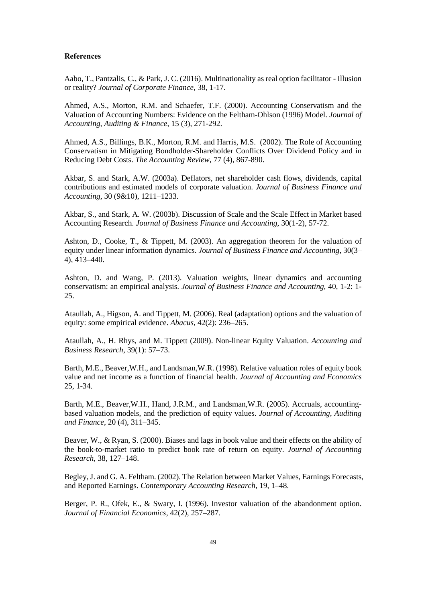## **References**

Aabo, T., Pantzalis, C., & Park, J. C. (2016). Multinationality as real option facilitator - Illusion or reality? *Journal of Corporate Finance*, 38, 1-17.

Ahmed, A.S., Morton, R.M. and Schaefer, T.F. (2000). Accounting Conservatism and the Valuation of Accounting Numbers: Evidence on the Feltham-Ohlson (1996) Model. *Journal of Accounting, Auditing & Finance*, 15 (3), 271-292.

Ahmed, A.S., Billings, B.K., Morton, R.M. and Harris, M.S. (2002). The Role of Accounting Conservatism in Mitigating Bondholder-Shareholder Conflicts Over Dividend Policy and in Reducing Debt Costs. *The Accounting Review*, 77 (4), 867-890.

Akbar, S. and Stark, A.W. (2003a). Deflators, net shareholder cash flows, dividends, capital contributions and estimated models of corporate valuation. *Journal of Business Finance and Accounting*, 30 (9&10), 1211–1233.

Akbar, S., and Stark, A. W. (2003b). Discussion of Scale and the Scale Effect in Market based Accounting Research. *Journal of Business Finance and Accounting*, 30(1-2), 57-72.

Ashton, D., Cooke, T., & Tippett, M. (2003). An aggregation theorem for the valuation of equity under linear information dynamics. *Journal of Business Finance and Accounting*, 30(3– 4), 413–440.

Ashton, D. and Wang, P. (2013). Valuation weights, linear dynamics and accounting conservatism: an empirical analysis. *Journal of Business Finance and Accounting,* 40, 1-2: 1- 25.

Ataullah, A., Higson, A. and Tippett, M. (2006). Real (adaptation) options and the valuation of equity: some empirical evidence. *Abacus*, 42(2): 236–265.

Ataullah, A., H. Rhys, and M. Tippett (2009). Non-linear Equity Valuation. *Accounting and Business Research*, 39(1): 57–73.

Barth, M.E., Beaver,W.H., and Landsman,W.R. (1998). Relative valuation roles of equity book value and net income as a function of financial health. *Journal of Accounting and Economics* 25, 1-34.

Barth, M.E., Beaver,W.H., Hand, J.R.M., and Landsman,W.R. (2005). Accruals, accountingbased valuation models, and the prediction of equity values. *Journal of Accounting, Auditing and Finance*, 20 (4), 311–345.

Beaver, W., & Ryan, S. (2000). Biases and lags in book value and their effects on the ability of the book-to-market ratio to predict book rate of return on equity. *Journal of Accounting Research,* 38, 127–148.

Begley, J. and G. A. Feltham. (2002). The Relation between Market Values, Earnings Forecasts, and Reported Earnings. *Contemporary Accounting Research*, 19, 1–48.

Berger, P. R., Ofek, E., & Swary, I. (1996). Investor valuation of the abandonment option. *Journal of Financial Economics*, 42(2), 257–287.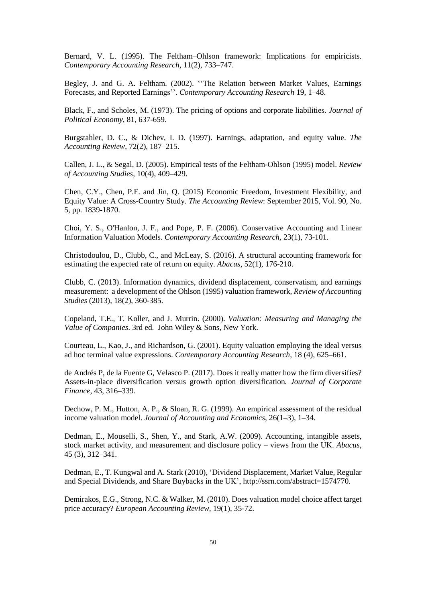Bernard, V. L. (1995). The Feltham–Ohlson framework: Implications for empiricists. *Contemporary Accounting Research*, 11(2), 733–747.

Begley, J. and G. A. Feltham. (2002). ''The Relation between Market Values, Earnings Forecasts, and Reported Earnings''. *Contemporary Accounting Research* 19, 1–48.

Black, F., and Scholes, M. (1973). The pricing of options and corporate liabilities. *Journal of Political Economy*, 81, 637-659.

Burgstahler, D. C., & Dichev, I. D. (1997). Earnings, adaptation, and equity value. *The Accounting Review*, 72(2), 187–215.

Callen, J. L., & Segal, D. (2005). Empirical tests of the Feltham-Ohlson (1995) model. *Review of Accounting Studies*, 10(4), 409–429.

Chen, C.Y., Chen, P.F. and Jin, Q. (2015) Economic Freedom, Investment Flexibility, and Equity Value: A Cross-Country Study. *The Accounting Review*: September 2015, Vol. 90, No. 5, pp. 1839-1870.

Choi, Y. S., O'Hanlon, J. F., and Pope, P. F. (2006). Conservative Accounting and Linear Information Valuation Models. *Contemporary Accounting Research,* 23(1), 73-101.

Christodoulou, D., Clubb, C., and McLeay, S. (2016). A structural accounting framework for estimating the expected rate of return on equity. *Abacus*, 52(1), 176-210.

Clubb, C. (2013). Information dynamics, dividend displacement, conservatism, and earnings measurement: a development of the Ohlson (1995) valuation framework, *Review of Accounting Studies* (2013), 18(2), 360-385.

Copeland, T.E., T. Koller, and J. Murrin. (2000). *Valuation: Measuring and Managing the Value of Companies*. 3rd ed. John Wiley & Sons, New York.

Courteau, L., Kao, J., and Richardson, G. (2001). Equity valuation employing the ideal versus ad hoc terminal value expressions. *Contemporary Accounting Research*, 18 (4), 625–661.

de Andrés P, de la Fuente G, Velasco P. (2017). Does it really matter how the firm diversifies? Assets-in-place diversification versus growth option diversification*. Journal of Corporate Finance*, 43, 316–339.

Dechow, P. M., Hutton, A. P., & Sloan, R. G. (1999). An empirical assessment of the residual income valuation model. *Journal of Accounting and Economics*, 26(1–3), 1–34.

Dedman, E., Mouselli, S., Shen, Y., and Stark, A.W. (2009). Accounting, intangible assets, stock market activity, and measurement and disclosure policy – views from the UK. *Abacus*, 45 (3), 312–341.

Dedman, E., T. Kungwal and A. Stark (2010), 'Dividend Displacement, Market Value, Regular and Special Dividends, and Share Buybacks in the UK', http://ssrn.com/abstract=1574770.

Demirakos, E.G., Strong, N.C. & Walker, M. (2010). Does valuation model choice affect target price accuracy? *European Accounting Review,* 19(1), 35-72.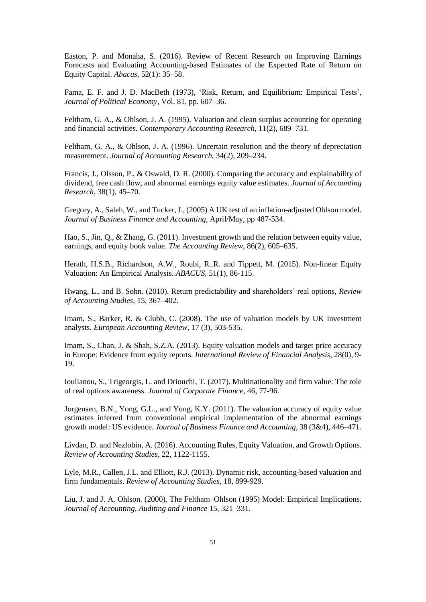Easton, P. and Monaha, S. (2016). Review of Recent Research on Improving Earnings Forecasts and Evaluating Accounting-based Estimates of the Expected Rate of Return on Equity Capital. *Abacus*, 52(1): 35–58.

Fama, E. F. and J. D. MacBeth (1973), 'Risk, Return, and Equilibrium: Empirical Tests', *Journal of Political Economy*, Vol. 81, pp. 607–36.

Feltham, G. A., & Ohlson, J. A. (1995). Valuation and clean surplus accounting for operating and financial activities. *Contemporary Accounting Research*, 11(2), 689–731.

Feltham, G. A., & Ohlson, J. A. (1996). Uncertain resolution and the theory of depreciation measurement. *Journal of Accounting Research*, 34(2), 209–234.

Francis, J., Olsson, P., & Oswald, D. R. (2000). Comparing the accuracy and explainability of dividend, free cash flow, and abnormal earnings equity value estimates. *Journal of Accounting Research*, 38(1), 45–70.

Gregory, A., Saleh, W., and Tucker, J., (2005) A UK test of an inflation-adjusted Ohlson model. *Journal of Business Finance and Accounting*, April/May, pp 487-534.

Hao, S., Jin, Q., & Zhang, G. (2011). Investment growth and the relation between equity value, earnings, and equity book value. *The Accounting Review*, 86(2), 605–635.

Herath, H.S.B., Richardson, A.W., Roubi, R..R. and Tippett, M. (2015). Non-linear Equity Valuation: An Empirical Analysis. *ABACUS*, 51(1), 86-115.

Hwang, L., and B. Sohn. (2010). Return predictability and shareholders' real options, *Review of Accounting Studies,* 15, 367–402.

Imam, S., Barker, R. & Clubb, C. (2008). The use of valuation models by UK investment analysts. *European Accounting Review*, 17 (3), 503-535.

Imam, S., Chan, J. & Shah, S.Z.A. (2013). Equity valuation models and target price accuracy in Europe: Evidence from equity reports. *International Review of Financial Analysis*, 28(0), 9- 19.

Ioulianou, S., Trigeorgis, L. and Driouchi, T. (2017). Multinationality and firm value: The role of real options awareness. *Journal of Corporate Finance*, 46, 77-96.

Jorgensen, B.N., Yong, G.L., and Yong, K.Y. (2011). The valuation accuracy of equity value estimates inferred from conventional empirical implementation of the abnormal earnings growth model: US evidence. *Journal of Business Finance and Accounting*, 38 (3&4), 446–471.

Livdan, D. and Nezlobin, A. (2016). Accounting Rules, Equity Valuation, and Growth Options. *Review of Accounting Studies*, 22, 1122-1155.

Lyle, M.R., Callen, J.L. and Elliott, R.J. (2013). Dynamic risk, accounting-based valuation and firm fundamentals. *Review of Accounting Studies*, 18, 899-929.

Liu, J. and J. A. Ohlson. (2000). The Feltham–Ohlson (1995) Model: Empirical Implications. *Journal of Accounting, Auditing and Finance* 15, 321–331.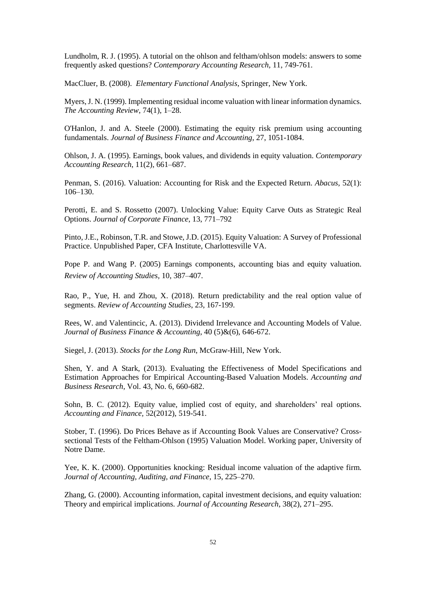Lundholm, R. J. (1995). A tutorial on the ohlson and feltham/ohlson models: answers to some frequently asked questions? *Contemporary Accounting Research,* 11, 749-761.

MacCluer, B. (2008). *Elementary Functional Analysis*, Springer, New York.

Myers,J. N. (1999). Implementing residual income valuation with linear information dynamics. *The Accounting Review*, 74(1), 1–28.

O'Hanlon, J. and A. Steele (2000). Estimating the equity risk premium using accounting fundamentals. *Journal of Business Finance and Accounting*, 27, 1051-1084.

Ohlson, J. A. (1995). Earnings, book values, and dividends in equity valuation. *Contemporary Accounting Research*, 11(2), 661–687.

Penman, S. (2016). Valuation: Accounting for Risk and the Expected Return. *Abacus*, 52(1): 106–130.

Perotti, E. and S. Rossetto (2007). Unlocking Value: Equity Carve Outs as Strategic Real Options. *Journal of Corporate Finance*, 13, 771–792

Pinto, J.E., Robinson, T.R. and Stowe, J.D. (2015). Equity Valuation: A Survey of Professional Practice. Unpublished Paper, CFA Institute, Charlottesville VA.

Pope P. and Wang P. (2005) Earnings components, accounting bias and equity valuation. *Review of Accounting Studies,* 10, 387–407.

Rao, P., Yue, H. and Zhou, X. (2018). Return predictability and the real option value of segments. *Review of Accounting Studies*, 23, 167-199.

Rees, W. and Valentincic, A. (2013). Dividend Irrelevance and Accounting Models of Value. *Journal of Business Finance & Accounting*, 40 (5)&(6), 646-672.

Siegel, J. (2013). *Stocks for the Long Run*, McGraw-Hill, New York.

Shen, Y. and A Stark, (2013). Evaluating the Effectiveness of Model Specifications and Estimation Approaches for Empirical Accounting-Based Valuation Models. *Accounting and Business Research,* Vol. 43, No. 6, 660-682.

Sohn, B. C. (2012). Equity value, implied cost of equity, and shareholders' real options. *Accounting and Finance,* 52(2012), 519-541.

Stober, T. (1996). Do Prices Behave as if Accounting Book Values are Conservative? Crosssectional Tests of the Feltham-Ohlson (1995) Valuation Model. Working paper, University of Notre Dame.

Yee, K. K. (2000). Opportunities knocking: Residual income valuation of the adaptive firm. *Journal of Accounting, Auditing, and Finance*, 15, 225–270.

Zhang, G. (2000). Accounting information, capital investment decisions, and equity valuation: Theory and empirical implications. *Journal of Accounting Research*, 38(2), 271–295.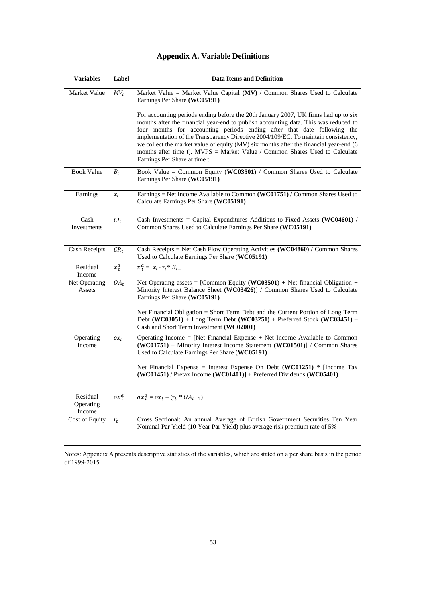|  | <b>Appendix A. Variable Definitions</b> |
|--|-----------------------------------------|
|--|-----------------------------------------|

| <b>Variables</b>                | Label              | <b>Data Items and Definition</b>                                                                                                                                                                                                                                                                                                                                                                                                                                                                                                                    |  |  |  |  |  |
|---------------------------------|--------------------|-----------------------------------------------------------------------------------------------------------------------------------------------------------------------------------------------------------------------------------------------------------------------------------------------------------------------------------------------------------------------------------------------------------------------------------------------------------------------------------------------------------------------------------------------------|--|--|--|--|--|
| Market Value                    | $MV_t$             | Market Value = Market Value Capital ( $MV$ ) / Common Shares Used to Calculate<br>Earnings Per Share (WC05191)                                                                                                                                                                                                                                                                                                                                                                                                                                      |  |  |  |  |  |
|                                 |                    | For accounting periods ending before the 20th January 2007, UK firms had up to six<br>months after the financial year-end to publish accounting data. This was reduced to<br>four months for accounting periods ending after that date following the<br>implementation of the Transparency Directive 2004/109/EC. To maintain consistency,<br>we collect the market value of equity (MV) six months after the financial year-end (6<br>months after time t). MVPS = Market Value / Common Shares Used to Calculate<br>Earnings Per Share at time t. |  |  |  |  |  |
| <b>Book Value</b>               | $\boldsymbol{B}_t$ | Book Value = Common Equity (WC03501) / Common Shares Used to Calculate<br>Earnings Per Share (WC05191)                                                                                                                                                                                                                                                                                                                                                                                                                                              |  |  |  |  |  |
| Earnings                        | $x_t$              | Earnings = Net Income Available to Common (WC01751) / Common Shares Used to<br>Calculate Earnings Per Share (WC05191)                                                                                                                                                                                                                                                                                                                                                                                                                               |  |  |  |  |  |
| Cash<br>Investments             | $CI_t$             | Cash Investments = Capital Expenditures Additions to Fixed Assets (WC04601) /<br>Common Shares Used to Calculate Earnings Per Share (WC05191)                                                                                                                                                                                                                                                                                                                                                                                                       |  |  |  |  |  |
| <b>Cash Receipts</b>            | $CR_t$             | Cash Receipts = Net Cash Flow Operating Activities (WC04860) / Common Shares<br>Used to Calculate Earnings Per Share (WC05191)                                                                                                                                                                                                                                                                                                                                                                                                                      |  |  |  |  |  |
| Residual<br>Income              | $x_t^a$            | $x_t^a = x_{t} - r_t * B_{t-1}$                                                                                                                                                                                                                                                                                                                                                                                                                                                                                                                     |  |  |  |  |  |
| Net Operating<br>Assets         | $OA_t$             | Net Operating assets = [Common Equity (WC03501) + Net financial Obligation +<br>Minority Interest Balance Sheet (WC03426)] / Common Shares Used to Calculate<br>Earnings Per Share (WC05191)                                                                                                                                                                                                                                                                                                                                                        |  |  |  |  |  |
|                                 |                    | Net Financial Obligation = Short Term Debt and the Current Portion of Long Term<br>Debt (WC03051) + Long Term Debt (WC03251) + Preferred Stock (WC03451) –<br>Cash and Short Term Investment (WC02001)                                                                                                                                                                                                                                                                                                                                              |  |  |  |  |  |
| Operating<br>Income             | $\alpha_{t}$       | Operating Income = [Net Financial Expense $+$ Net Income Available to Common<br>(WC01751) + Minority Interest Income Statement (WC01501)] / Common Shares<br>Used to Calculate Earnings Per Share (WC05191)                                                                                                                                                                                                                                                                                                                                         |  |  |  |  |  |
|                                 |                    | Net Financial Expense = Interest Expense On Debt (WC01251) * [Income Tax<br>$(WC01451)$ / Pretax Income $(WC01401)]$ + Preferred Dividends $(WC05401)$                                                                                                                                                                                                                                                                                                                                                                                              |  |  |  |  |  |
| Residual<br>Operating<br>Income | $\alpha x_t^a$     | $\overline{ox_t^a} = \overline{ox_t - (r_t * OA_{t-1})}$                                                                                                                                                                                                                                                                                                                                                                                                                                                                                            |  |  |  |  |  |
| Cost of Equity                  | $r_t$              | Cross Sectional: An annual Average of British Government Securities Ten Year<br>Nominal Par Yield (10 Year Par Yield) plus average risk premium rate of 5%                                                                                                                                                                                                                                                                                                                                                                                          |  |  |  |  |  |

Notes: Appendix A presents descriptive statistics of the variables, which are stated on a per share basis in the period of 1999-2015.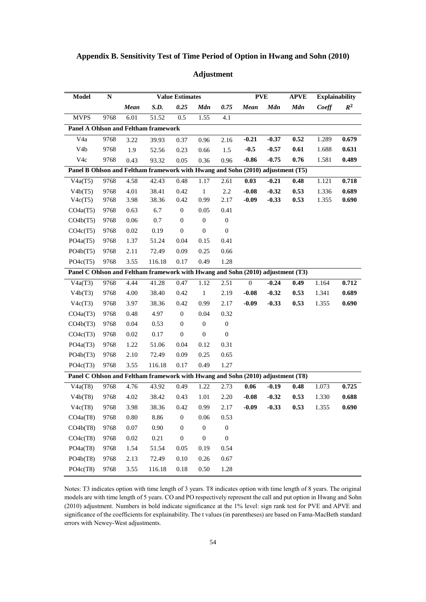| Model                                                                           | $\mathbf N$ |             | <b>Value Estimates</b> |                  |                  | <b>PVE</b>       |              | <b>APVE</b> | <b>Explainability</b> |       |       |
|---------------------------------------------------------------------------------|-------------|-------------|------------------------|------------------|------------------|------------------|--------------|-------------|-----------------------|-------|-------|
|                                                                                 |             | <b>Mean</b> | S.D.                   | 0.25             | <b>Mdn</b>       | 0.75             | <b>Mean</b>  | <b>Mdn</b>  | <b>Mdn</b>            | Coeff | $R^2$ |
| ${\hbox{MVPS}}$                                                                 | 9768        | 6.01        | 51.52                  | 0.5              | 1.55             | 4.1              |              |             |                       |       |       |
| Panel A Ohlson and Feltham framework                                            |             |             |                        |                  |                  |                  |              |             |                       |       |       |
| V <sub>4</sub> a                                                                | 9768        | 3.22        | 39.93                  | 0.37             | 0.96             | 2.16             | $-0.21$      | $-0.37$     | 0.52                  | 1.289 | 0.679 |
| V <sub>4</sub> b                                                                | 9768        | 1.9         | 52.56                  | 0.23             | 0.66             | 1.5              | $-0.5$       | $-0.57$     | 0.61                  | 1.688 | 0.631 |
| V4c                                                                             | 9768        | 0.43        | 93.32                  | 0.05             | 0.36             | 0.96             | $-0.86$      | $-0.75$     | 0.76                  | 1.581 | 0.489 |
| Panel B Ohlson and Feltham framework with Hwang and Sohn (2010) adjustment (T5) |             |             |                        |                  |                  |                  |              |             |                       |       |       |
| V4a(T5)                                                                         | 9768        | 4.58        | 42.43                  | 0.48             | 1.17             | 2.61             | 0.03         | $-0.21$     | 0.48                  | 1.121 | 0.718 |
| V4b(T5)                                                                         | 9768        | 4.01        | 38.41                  | 0.42             | $\overline{1}$   | $2.2\,$          | $-0.08$      | $-0.32$     | 0.53                  | 1.336 | 0.689 |
| V4c(T5)                                                                         | 9768        | 3.98        | 38.36                  | 0.42             | 0.99             | 2.17             | $-0.09$      | $-0.33$     | 0.53                  | 1.355 | 0.690 |
| CO4a(T5)                                                                        | 9768        | 0.63        | 6.7                    | $\boldsymbol{0}$ | 0.05             | 0.41             |              |             |                       |       |       |
| CO4b(T5)                                                                        | 9768        | 0.06        | 0.7                    | $\boldsymbol{0}$ | $\boldsymbol{0}$ | $\boldsymbol{0}$ |              |             |                       |       |       |
| CO4c(T5)                                                                        | 9768        | $0.02\,$    | 0.19                   | $\boldsymbol{0}$ | $\boldsymbol{0}$ | $\boldsymbol{0}$ |              |             |                       |       |       |
| PO4a(T5)                                                                        | 9768        | 1.37        | 51.24                  | 0.04             | 0.15             | 0.41             |              |             |                       |       |       |
| PO4b(T5)                                                                        | 9768        | 2.11        | 72.49                  | 0.09             | 0.25             | 0.66             |              |             |                       |       |       |
| PO4c(T5)                                                                        | 9768        | 3.55        | 116.18                 | 0.17             | 0.49             | 1.28             |              |             |                       |       |       |
| Panel C Ohlson and Feltham framework with Hwang and Sohn (2010) adjustment (T3) |             |             |                        |                  |                  |                  |              |             |                       |       |       |
| V4a(T3)                                                                         | 9768        | 4.44        | 41.28                  | 0.47             | 1.12             | 2.51             | $\mathbf{0}$ | $-0.24$     | 0.49                  | 1.164 | 0.712 |
| V4b(T3)                                                                         | 9768        | 4.00        | 38.40                  | 0.42             | $\,1\,$          | 2.19             | $-0.08$      | $-0.32$     | 0.53                  | 1.341 | 0.689 |
| V4c(T3)                                                                         | 9768        | 3.97        | 38.36                  | 0.42             | 0.99             | 2.17             | $-0.09$      | $-0.33$     | 0.53                  | 1.355 | 0.690 |
| CO4a(T3)                                                                        | 9768        | 0.48        | 4.97                   | $\boldsymbol{0}$ | 0.04             | 0.32             |              |             |                       |       |       |
| CO4b(T3)                                                                        | 9768        | 0.04        | 0.53                   | $\boldsymbol{0}$ | $\boldsymbol{0}$ | $\boldsymbol{0}$ |              |             |                       |       |       |
| CO4c(T3)                                                                        | 9768        | $0.02\,$    | 0.17                   | $\boldsymbol{0}$ | $\boldsymbol{0}$ | $\boldsymbol{0}$ |              |             |                       |       |       |
| PO4a(T3)                                                                        | 9768        | 1.22        | 51.06                  | 0.04             | 0.12             | 0.31             |              |             |                       |       |       |
| PO4b(T3)                                                                        | 9768        | 2.10        | 72.49                  | 0.09             | 0.25             | 0.65             |              |             |                       |       |       |
| PO4c(T3)                                                                        | 9768        | 3.55        | 116.18                 | 0.17             | 0.49             | 1.27             |              |             |                       |       |       |
| Panel C Ohlson and Feltham framework with Hwang and Sohn (2010) adjustment (T8) |             |             |                        |                  |                  |                  |              |             |                       |       |       |
| V4a(T8)                                                                         | 9768        | 4.76        | 43.92                  | 0.49             | 1.22             | 2.73             | 0.06         | $-0.19$     | 0.48                  | 1.073 | 0.725 |
| V4b(T8)                                                                         | 9768        | 4.02        | 38.42                  | 0.43             | 1.01             | 2.20             | $-0.08$      | $-0.32$     | 0.53                  | 1.330 | 0.688 |
| V4c(T8)                                                                         | 9768        | 3.98        | 38.36                  | 0.42             | 0.99             | 2.17             | $-0.09$      | $-0.33$     | 0.53                  | 1.355 | 0.690 |
| CO4a(T8)                                                                        | 9768        | 0.80        | 8.86                   | $\boldsymbol{0}$ | 0.06             | 0.53             |              |             |                       |       |       |
| CO4b(T8)                                                                        | 9768        | 0.07        | 0.90                   | $\boldsymbol{0}$ | $\boldsymbol{0}$ | $\boldsymbol{0}$ |              |             |                       |       |       |
| CO4c(T8)                                                                        | 9768        | $0.02\,$    | 0.21                   | $\boldsymbol{0}$ | $\boldsymbol{0}$ | $\boldsymbol{0}$ |              |             |                       |       |       |
| PO4a(T8)                                                                        | 9768        | 1.54        | 51.54                  | 0.05             | 0.19             | 0.54             |              |             |                       |       |       |
| PO4b(T8)                                                                        | 9768        | 2.13        | 72.49                  | 0.10             | 0.26             | 0.67             |              |             |                       |       |       |
| PO4c(T8)                                                                        | 9768        | 3.55        | 116.18                 | 0.18             | 0.50             | 1.28             |              |             |                       |       |       |

# **Adjustment**

Notes: T3 indicates option with time length of 3 years. T8 indicates option with time length of 8 years. The original models are with time length of 5 years. CO and PO respectively represent the call and put option in Hwang and Sohn (2010) adjustment. Numbers in bold indicate significance at the 1% level: sign rank test for PVE and APVE and significance of the coefficients for explainability. The t values (in parentheses) are based on Fama-MacBeth standard errors with Newey-West adjustments.